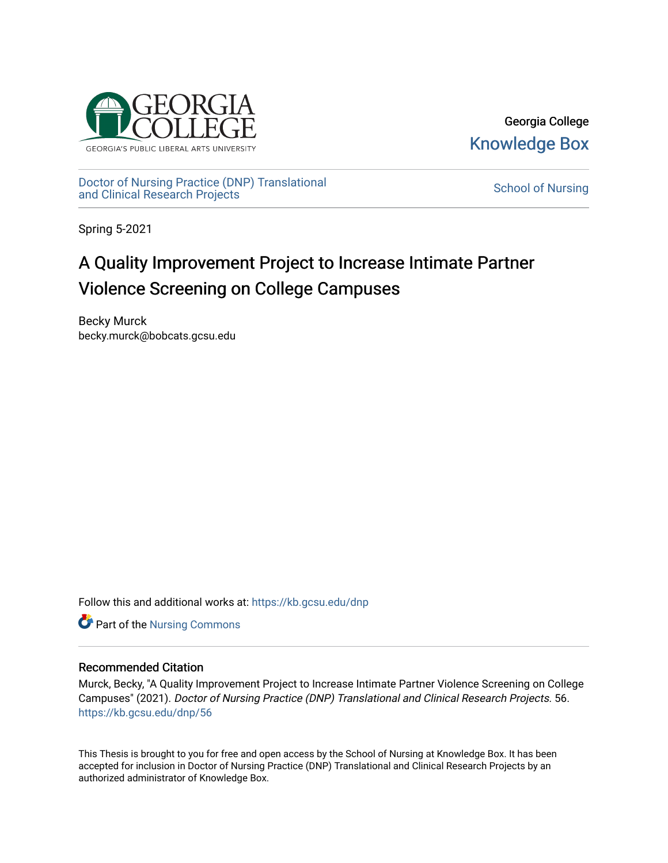

Georgia College [Knowledge Box](https://kb.gcsu.edu/) 

[Doctor of Nursing Practice \(DNP\) Translational](https://kb.gcsu.edu/dnp)  Doctor of Nursing Practice (DNP) Translational control of Nursing [School of Nursing](https://kb.gcsu.edu/snc) and Clinical Research Projects

Spring 5-2021

# A Quality Improvement Project to Increase Intimate Partner Violence Screening on College Campuses

Becky Murck becky.murck@bobcats.gcsu.edu

Follow this and additional works at: [https://kb.gcsu.edu/dnp](https://kb.gcsu.edu/dnp?utm_source=kb.gcsu.edu%2Fdnp%2F56&utm_medium=PDF&utm_campaign=PDFCoverPages) 

Part of the [Nursing Commons](http://network.bepress.com/hgg/discipline/718?utm_source=kb.gcsu.edu%2Fdnp%2F56&utm_medium=PDF&utm_campaign=PDFCoverPages) 

## Recommended Citation

Murck, Becky, "A Quality Improvement Project to Increase Intimate Partner Violence Screening on College Campuses" (2021). Doctor of Nursing Practice (DNP) Translational and Clinical Research Projects. 56. [https://kb.gcsu.edu/dnp/56](https://kb.gcsu.edu/dnp/56?utm_source=kb.gcsu.edu%2Fdnp%2F56&utm_medium=PDF&utm_campaign=PDFCoverPages) 

This Thesis is brought to you for free and open access by the School of Nursing at Knowledge Box. It has been accepted for inclusion in Doctor of Nursing Practice (DNP) Translational and Clinical Research Projects by an authorized administrator of Knowledge Box.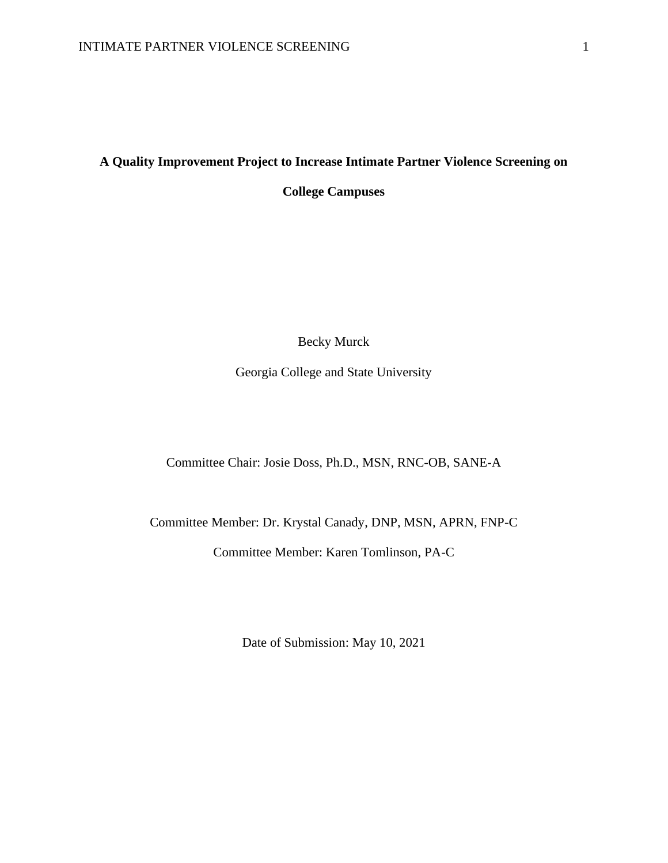## **A Quality Improvement Project to Increase Intimate Partner Violence Screening on**

**College Campuses**

Becky Murck

Georgia College and State University

Committee Chair: Josie Doss, Ph.D., MSN, RNC-OB, SANE-A

Committee Member: Dr. Krystal Canady, DNP, MSN, APRN, FNP-C

Committee Member: Karen Tomlinson, PA-C

Date of Submission: May 10, 2021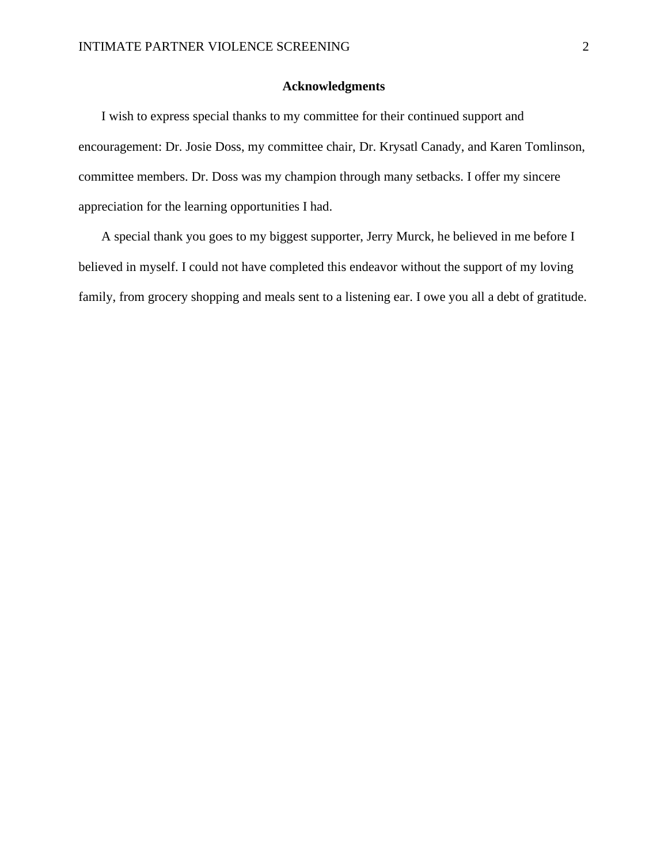## **Acknowledgments**

 I wish to express special thanks to my committee for their continued support and encouragement: Dr. Josie Doss, my committee chair, Dr. Krysatl Canady, and Karen Tomlinson, committee members. Dr. Doss was my champion through many setbacks. I offer my sincere appreciation for the learning opportunities I had.

 A special thank you goes to my biggest supporter, Jerry Murck, he believed in me before I believed in myself. I could not have completed this endeavor without the support of my loving family, from grocery shopping and meals sent to a listening ear. I owe you all a debt of gratitude.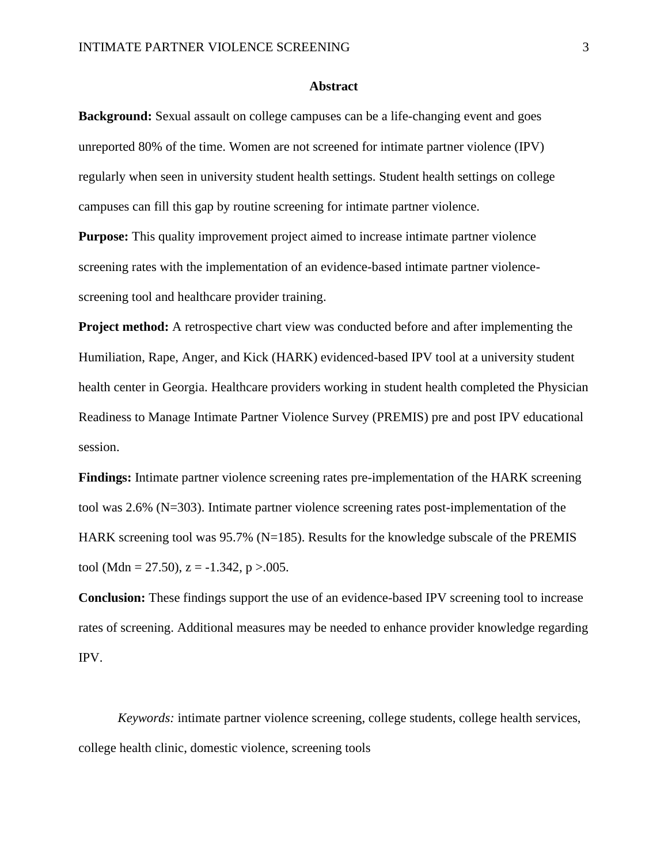#### **Abstract**

**Background:** Sexual assault on college campuses can be a life-changing event and goes unreported 80% of the time. Women are not screened for intimate partner violence (IPV) regularly when seen in university student health settings. Student health settings on college campuses can fill this gap by routine screening for intimate partner violence.

**Purpose:** This quality improvement project aimed to increase intimate partner violence screening rates with the implementation of an evidence-based intimate partner violencescreening tool and healthcare provider training.

**Project method:** A retrospective chart view was conducted before and after implementing the Humiliation, Rape, Anger, and Kick (HARK) evidenced-based IPV tool at a university student health center in Georgia. Healthcare providers working in student health completed the Physician Readiness to Manage Intimate Partner Violence Survey (PREMIS) pre and post IPV educational session.

**Findings:** Intimate partner violence screening rates pre-implementation of the HARK screening tool was 2.6% (N=303). Intimate partner violence screening rates post-implementation of the HARK screening tool was 95.7% (N=185). Results for the knowledge subscale of the PREMIS tool (Mdn = 27.50),  $z = -1.342$ ,  $p > .005$ .

**Conclusion:** These findings support the use of an evidence-based IPV screening tool to increase rates of screening. Additional measures may be needed to enhance provider knowledge regarding IPV.

*Keywords:* intimate partner violence screening, college students, college health services, college health clinic, domestic violence, screening tools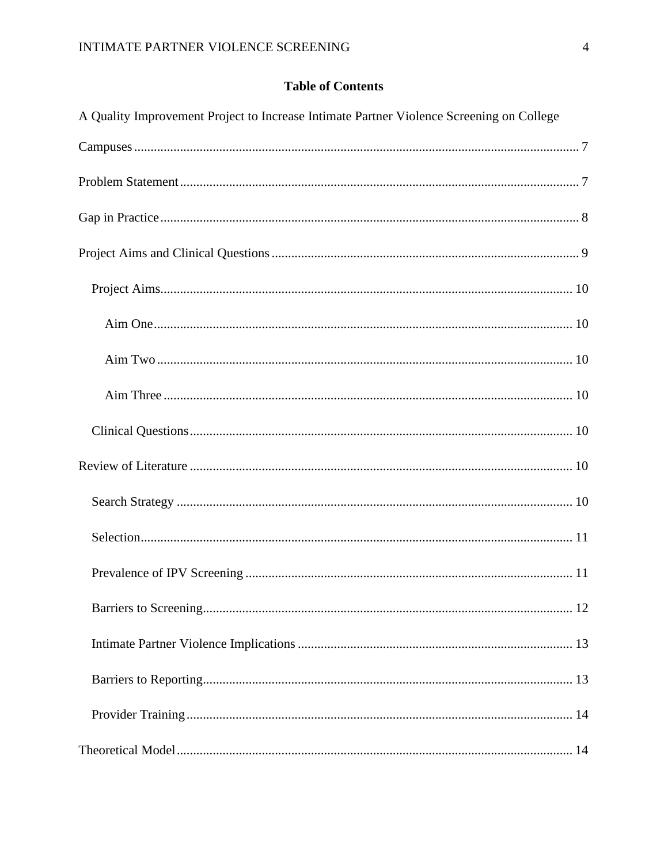# **Table of Contents**

| A Quality Improvement Project to Increase Intimate Partner Violence Screening on College |  |
|------------------------------------------------------------------------------------------|--|
|                                                                                          |  |
|                                                                                          |  |
|                                                                                          |  |
|                                                                                          |  |
|                                                                                          |  |
|                                                                                          |  |
|                                                                                          |  |
|                                                                                          |  |
|                                                                                          |  |
|                                                                                          |  |
|                                                                                          |  |
|                                                                                          |  |
|                                                                                          |  |
|                                                                                          |  |
|                                                                                          |  |
|                                                                                          |  |
|                                                                                          |  |
|                                                                                          |  |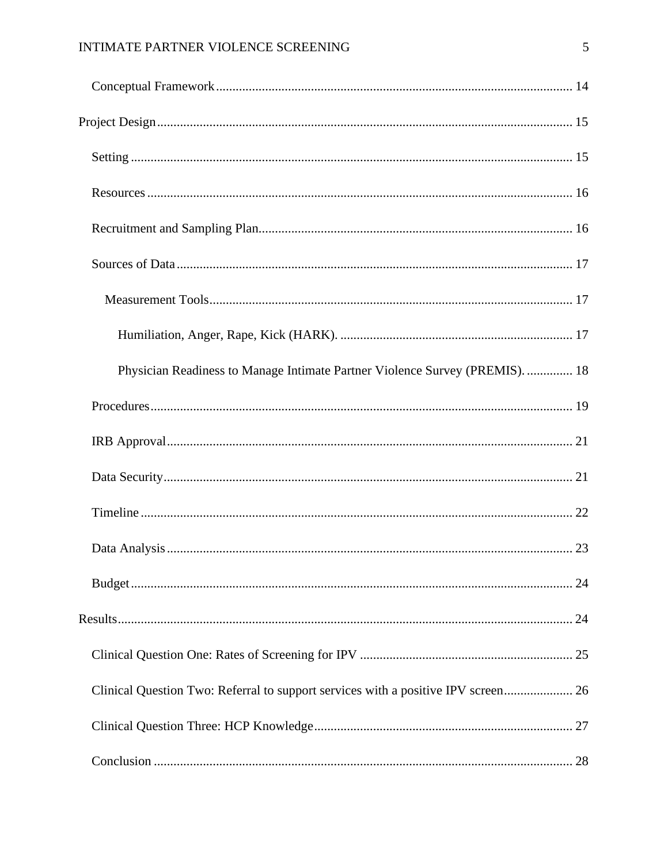# INTIMATE PARTNER VIOLENCE SCREENING

| Physician Readiness to Manage Intimate Partner Violence Survey (PREMIS).  18      |  |
|-----------------------------------------------------------------------------------|--|
|                                                                                   |  |
|                                                                                   |  |
|                                                                                   |  |
|                                                                                   |  |
|                                                                                   |  |
|                                                                                   |  |
|                                                                                   |  |
|                                                                                   |  |
| Clinical Question Two: Referral to support services with a positive IPV screen 26 |  |
|                                                                                   |  |
|                                                                                   |  |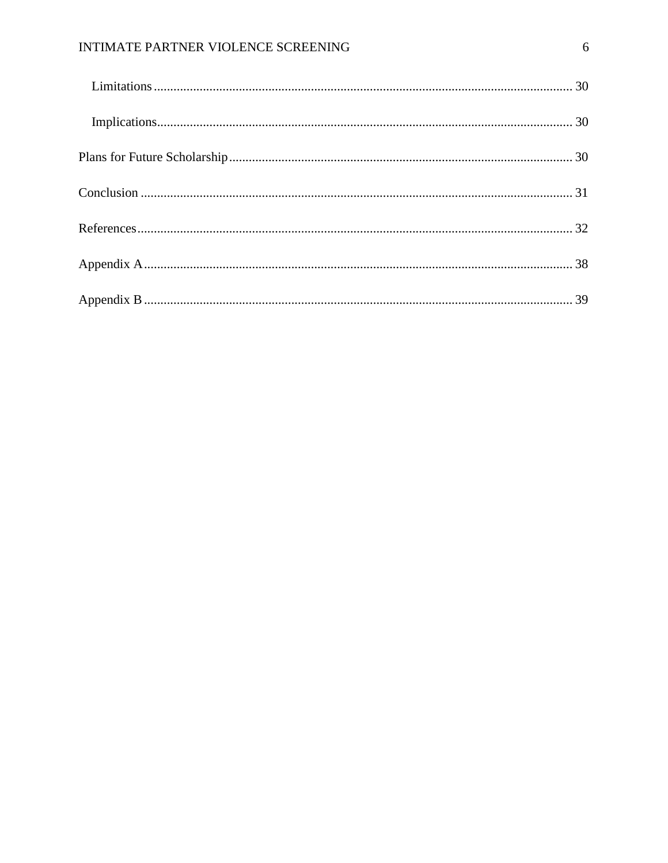# INTIMATE PARTNER VIOLENCE SCREENING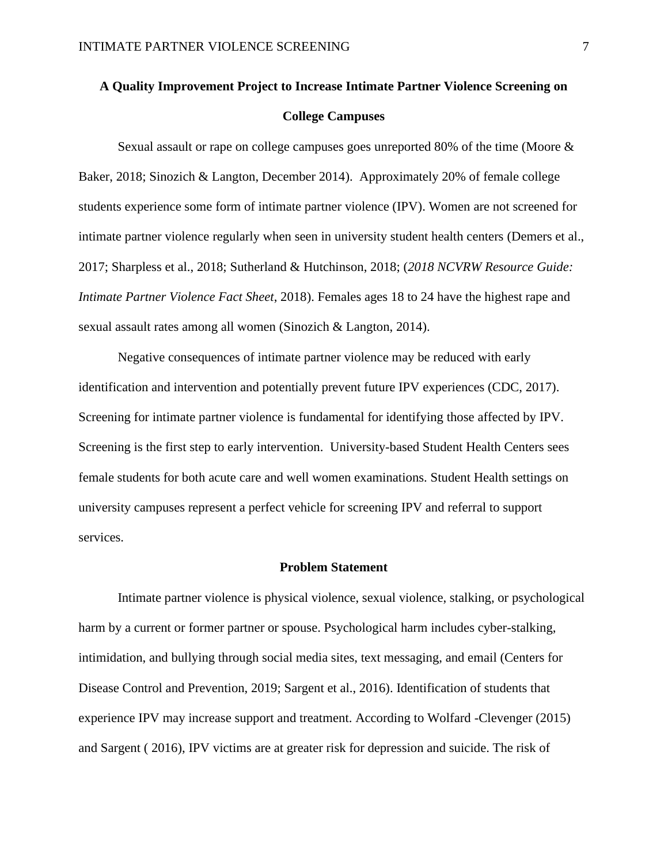# <span id="page-7-0"></span>**A Quality Improvement Project to Increase Intimate Partner Violence Screening on College Campuses**

Sexual assault or rape on college campuses goes unreported 80% of the time (Moore & Baker, 2018; Sinozich & Langton, December 2014). Approximately 20% of female college students experience some form of intimate partner violence (IPV). Women are not screened for intimate partner violence regularly when seen in university student health centers (Demers et al., 2017; Sharpless et al., 2018; Sutherland & Hutchinson, 2018; (*2018 NCVRW Resource Guide: Intimate Partner Violence Fact Sheet*, 2018). Females ages 18 to 24 have the highest rape and sexual assault rates among all women (Sinozich & Langton, 2014).

Negative consequences of intimate partner violence may be reduced with early identification and intervention and potentially prevent future IPV experiences (CDC, 2017). Screening for intimate partner violence is fundamental for identifying those affected by IPV. Screening is the first step to early intervention. University-based Student Health Centers sees female students for both acute care and well women examinations. Student Health settings on university campuses represent a perfect vehicle for screening IPV and referral to support services.

#### **Problem Statement**

<span id="page-7-1"></span>Intimate partner violence is physical violence, sexual violence, stalking, or psychological harm by a current or former partner or spouse. Psychological harm includes cyber-stalking, intimidation, and bullying through social media sites, text messaging, and email (Centers for Disease Control and Prevention, 2019; Sargent et al., 2016). Identification of students that experience IPV may increase support and treatment. According to Wolfard -Clevenger (2015) and Sargent ( 2016), IPV victims are at greater risk for depression and suicide. The risk of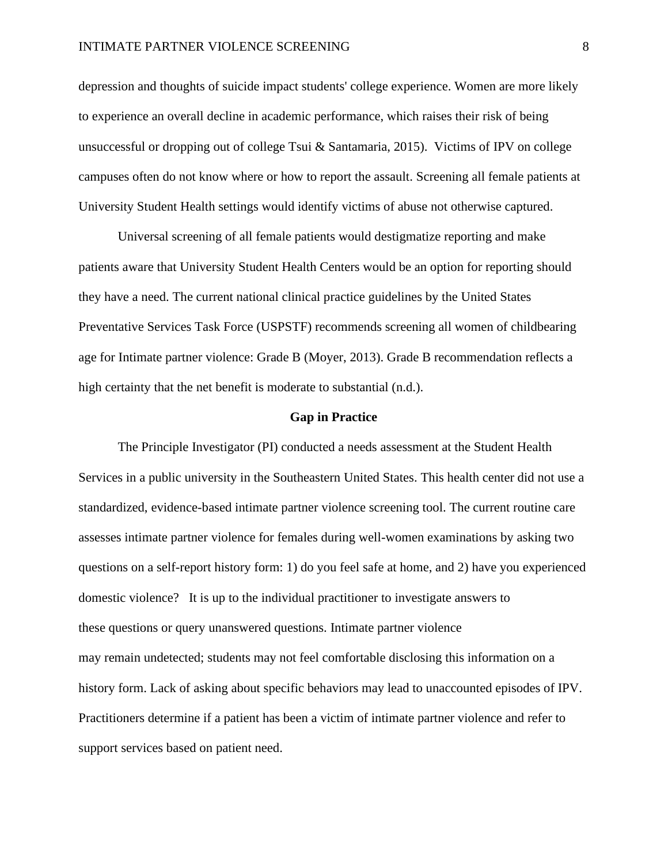#### INTIMATE PARTNER VIOLENCE SCREENING 8

depression and thoughts of suicide impact students' college experience. Women are more likely to experience an overall decline in academic performance, which raises their risk of being unsuccessful or dropping out of college Tsui & Santamaria, 2015). Victims of IPV on college campuses often do not know where or how to report the assault. Screening all female patients at University Student Health settings would identify victims of abuse not otherwise captured.

Universal screening of all female patients would destigmatize reporting and make patients aware that University Student Health Centers would be an option for reporting should they have a need. The current national clinical practice guidelines by the United States Preventative Services Task Force (USPSTF) recommends screening all women of childbearing age for Intimate partner violence: Grade B (Moyer, 2013). Grade B recommendation reflects a high certainty that the net benefit is moderate to substantial (n.d.).

#### **Gap in Practice**

<span id="page-8-0"></span>The Principle Investigator (PI) conducted a needs assessment at the Student Health Services in a public university in the Southeastern United States. This health center did not use a standardized, evidence-based intimate partner violence screening tool. The current routine care assesses intimate partner violence for females during well-women examinations by asking two questions on a self-report history form: 1) do you feel safe at home, and 2) have you experienced domestic violence? It is up to the individual practitioner to investigate answers to these questions or query unanswered questions. Intimate partner violence may remain undetected; students may not feel comfortable disclosing this information on a history form. Lack of asking about specific behaviors may lead to unaccounted episodes of IPV. Practitioners determine if a patient has been a victim of intimate partner violence and refer to support services based on patient need.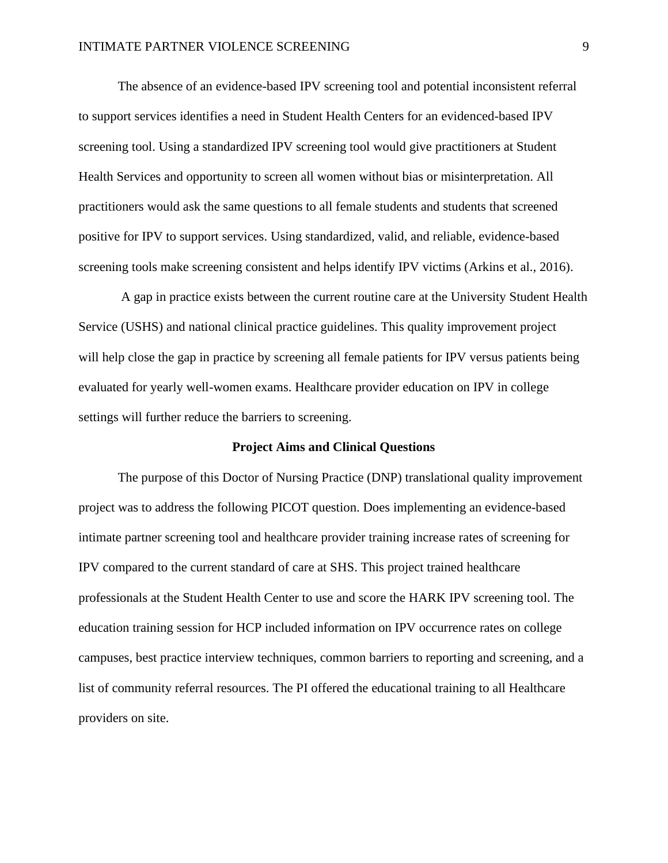The absence of an evidence-based IPV screening tool and potential inconsistent referral to support services identifies a need in Student Health Centers for an evidenced-based IPV screening tool. Using a standardized IPV screening tool would give practitioners at Student Health Services and opportunity to screen all women without bias or misinterpretation. All practitioners would ask the same questions to all female students and students that screened positive for IPV to support services. Using standardized, valid, and reliable, evidence-based screening tools make screening consistent and helps identify IPV victims (Arkins et al., 2016).

A gap in practice exists between the current routine care at the University Student Health Service (USHS) and national clinical practice guidelines. This quality improvement project will help close the gap in practice by screening all female patients for IPV versus patients being evaluated for yearly well-women exams. Healthcare provider education on IPV in college settings will further reduce the barriers to screening.

#### **Project Aims and Clinical Questions**

<span id="page-9-0"></span>The purpose of this Doctor of Nursing Practice (DNP) translational quality improvement project was to address the following PICOT question. Does implementing an evidence-based intimate partner screening tool and healthcare provider training increase rates of screening for IPV compared to the current standard of care at SHS. This project trained healthcare professionals at the Student Health Center to use and score the HARK IPV screening tool. The education training session for HCP included information on IPV occurrence rates on college campuses, best practice interview techniques, common barriers to reporting and screening, and a list of community referral resources. The PI offered the educational training to all Healthcare providers on site.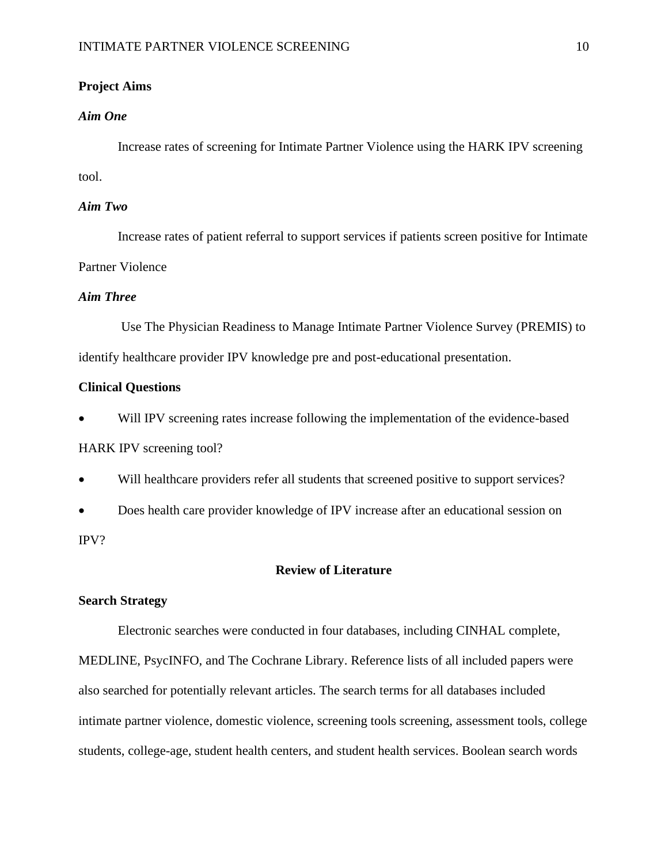## <span id="page-10-0"></span>**Project Aims**

## <span id="page-10-1"></span>*Aim One*

Increase rates of screening for Intimate Partner Violence using the HARK IPV screening tool.

## <span id="page-10-2"></span>*Aim Two*

Increase rates of patient referral to support services if patients screen positive for Intimate Partner Violence

## <span id="page-10-3"></span>*Aim Three*

Use The Physician Readiness to Manage Intimate Partner Violence Survey (PREMIS) to identify healthcare provider IPV knowledge pre and post-educational presentation.

#### <span id="page-10-4"></span>**Clinical Questions**

Will IPV screening rates increase following the implementation of the evidence-based HARK IPV screening tool?

• Will healthcare providers refer all students that screened positive to support services?

• Does health care provider knowledge of IPV increase after an educational session on IPV?

## **Review of Literature**

## <span id="page-10-6"></span><span id="page-10-5"></span>**Search Strategy**

Electronic searches were conducted in four databases, including CINHAL complete, MEDLINE, PsycINFO, and The Cochrane Library. Reference lists of all included papers were also searched for potentially relevant articles. The search terms for all databases included intimate partner violence, domestic violence, screening tools screening, assessment tools, college students, college-age, student health centers, and student health services. Boolean search words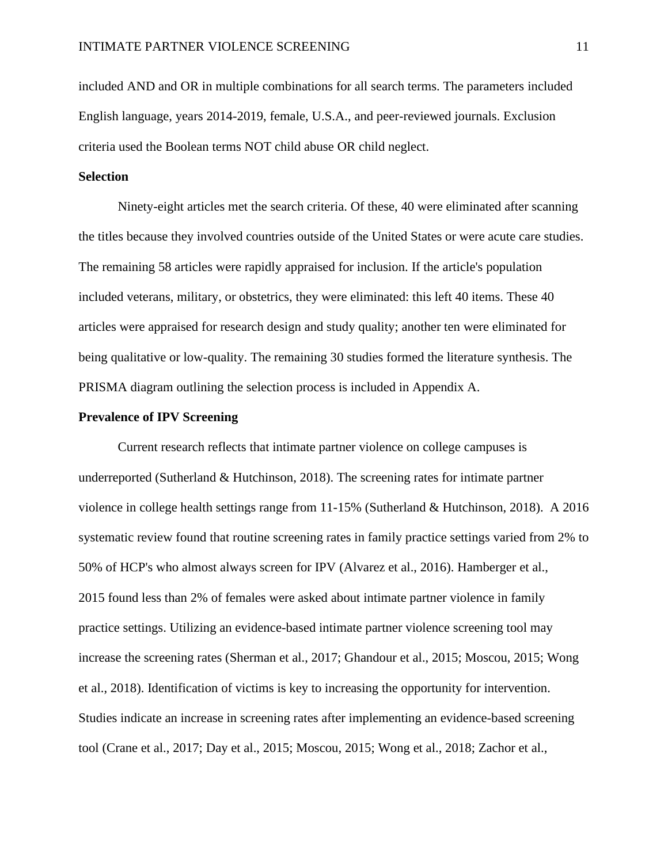included AND and OR in multiple combinations for all search terms. The parameters included English language, years 2014-2019, female, U.S.A., and peer-reviewed journals. Exclusion criteria used the Boolean terms NOT child abuse OR child neglect.

## <span id="page-11-0"></span>**Selection**

Ninety-eight articles met the search criteria. Of these, 40 were eliminated after scanning the titles because they involved countries outside of the United States or were acute care studies. The remaining 58 articles were rapidly appraised for inclusion. If the article's population included veterans, military, or obstetrics, they were eliminated: this left 40 items. These 40 articles were appraised for research design and study quality; another ten were eliminated for being qualitative or low-quality. The remaining 30 studies formed the literature synthesis. The PRISMA diagram outlining the selection process is included in Appendix A.

#### <span id="page-11-1"></span>**Prevalence of IPV Screening**

Current research reflects that intimate partner violence on college campuses is underreported (Sutherland & Hutchinson, 2018). The screening rates for intimate partner violence in college health settings range from 11-15% (Sutherland & Hutchinson, 2018). A 2016 systematic review found that routine screening rates in family practice settings varied from 2% to 50% of HCP's who almost always screen for IPV (Alvarez et al., 2016). Hamberger et al., 2015 found less than 2% of females were asked about intimate partner violence in family practice settings. Utilizing an evidence-based intimate partner violence screening tool may increase the screening rates (Sherman et al., 2017; Ghandour et al., 2015; Moscou, 2015; Wong et al., 2018). Identification of victims is key to increasing the opportunity for intervention. Studies indicate an increase in screening rates after implementing an evidence-based screening tool (Crane et al., 2017; Day et al., 2015; Moscou, 2015; Wong et al., 2018; Zachor et al.,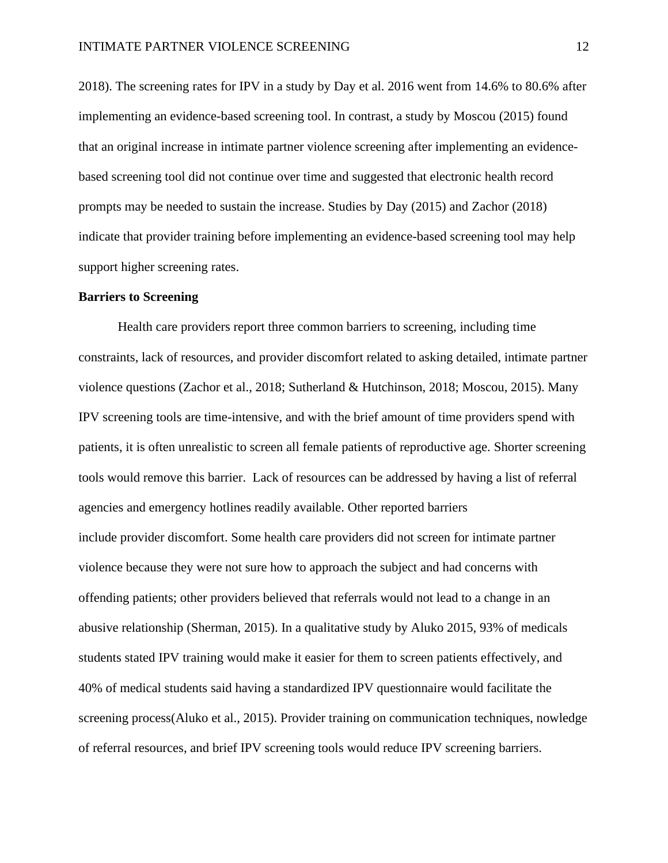2018). The screening rates for IPV in a study by Day et al. 2016 went from 14.6% to 80.6% after implementing an evidence-based screening tool. In contrast, a study by Moscou (2015) found that an original increase in intimate partner violence screening after implementing an evidencebased screening tool did not continue over time and suggested that electronic health record prompts may be needed to sustain the increase. Studies by Day (2015) and Zachor (2018) indicate that provider training before implementing an evidence-based screening tool may help support higher screening rates.

#### <span id="page-12-0"></span>**Barriers to Screening**

Health care providers report three common barriers to screening, including time constraints, lack of resources, and provider discomfort related to asking detailed, intimate partner violence questions (Zachor et al., 2018; Sutherland & Hutchinson, 2018; Moscou, 2015). Many IPV screening tools are time-intensive, and with the brief amount of time providers spend with patients, it is often unrealistic to screen all female patients of reproductive age. Shorter screening tools would remove this barrier. Lack of resources can be addressed by having a list of referral agencies and emergency hotlines readily available. Other reported barriers include provider discomfort. Some health care providers did not screen for intimate partner violence because they were not sure how to approach the subject and had concerns with offending patients; other providers believed that referrals would not lead to a change in an abusive relationship (Sherman, 2015). In a qualitative study by Aluko 2015, 93% of medicals students stated IPV training would make it easier for them to screen patients effectively, and 40% of medical students said having a standardized IPV questionnaire would facilitate the screening process(Aluko et al., 2015). Provider training on communication techniques, nowledge of referral resources, and brief IPV screening tools would reduce IPV screening barriers.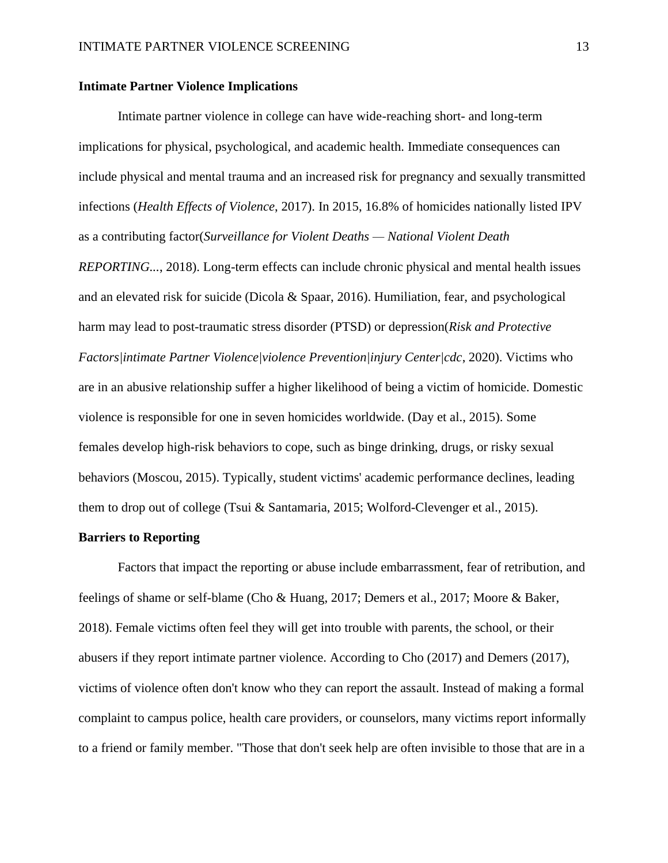#### <span id="page-13-0"></span>**Intimate Partner Violence Implications**

Intimate partner violence in college can have wide-reaching short- and long-term implications for physical, psychological, and academic health. Immediate consequences can include physical and mental trauma and an increased risk for pregnancy and sexually transmitted infections (*Health Effects of Violence*, 2017). In 2015, 16.8% of homicides nationally listed IPV as a contributing factor(*Surveillance for Violent Deaths — National Violent Death REPORTING...*, 2018). Long-term effects can include chronic physical and mental health issues and an elevated risk for suicide (Dicola & Spaar, 2016). Humiliation, fear, and psychological harm may lead to post-traumatic stress disorder (PTSD) or depression(*Risk and Protective Factors|intimate Partner Violence|violence Prevention|injury Center|cdc*, 2020). Victims who are in an abusive relationship suffer a higher likelihood of being a victim of homicide. Domestic violence is responsible for one in seven homicides worldwide. (Day et al., 2015). Some females develop high-risk behaviors to cope, such as binge drinking, drugs, or risky sexual behaviors (Moscou, 2015). Typically, student victims' academic performance declines, leading them to drop out of college (Tsui & Santamaria, 2015; Wolford-Clevenger et al., 2015).

## <span id="page-13-1"></span>**Barriers to Reporting**

Factors that impact the reporting or abuse include embarrassment, fear of retribution, and feelings of shame or self-blame (Cho & Huang, 2017; Demers et al., 2017; Moore & Baker, 2018). Female victims often feel they will get into trouble with parents, the school, or their abusers if they report intimate partner violence. According to Cho (2017) and Demers (2017), victims of violence often don't know who they can report the assault. Instead of making a formal complaint to campus police, health care providers, or counselors, many victims report informally to a friend or family member. "Those that don't seek help are often invisible to those that are in a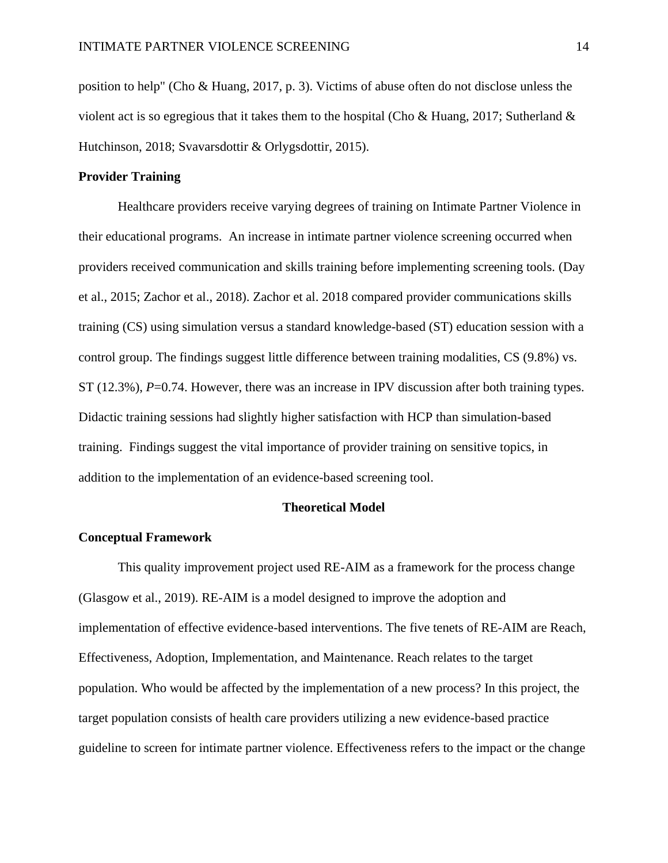position to help" (Cho & Huang, 2017, p. 3). Victims of abuse often do not disclose unless the violent act is so egregious that it takes them to the hospital (Cho & Huang, 2017; Sutherland  $\&$ Hutchinson, 2018; Svavarsdottir & Orlygsdottir, 2015).

#### <span id="page-14-0"></span>**Provider Training**

Healthcare providers receive varying degrees of training on Intimate Partner Violence in their educational programs. An increase in intimate partner violence screening occurred when providers received communication and skills training before implementing screening tools. (Day et al., 2015; Zachor et al., 2018). Zachor et al. 2018 compared provider communications skills training (CS) using simulation versus a standard knowledge-based (ST) education session with a control group. The findings suggest little difference between training modalities, CS (9.8%) vs. ST (12.3%), *P*=0.74. However, there was an increase in IPV discussion after both training types. Didactic training sessions had slightly higher satisfaction with HCP than simulation-based training. Findings suggest the vital importance of provider training on sensitive topics, in addition to the implementation of an evidence-based screening tool.

#### **Theoretical Model**

#### <span id="page-14-2"></span><span id="page-14-1"></span>**Conceptual Framework**

This quality improvement project used RE-AIM as a framework for the process change (Glasgow et al., 2019). RE-AIM is a model designed to improve the adoption and implementation of effective evidence-based interventions. The five tenets of RE-AIM are Reach, Effectiveness, Adoption, Implementation, and Maintenance. Reach relates to the target population. Who would be affected by the implementation of a new process? In this project, the target population consists of health care providers utilizing a new evidence-based practice guideline to screen for intimate partner violence. Effectiveness refers to the impact or the change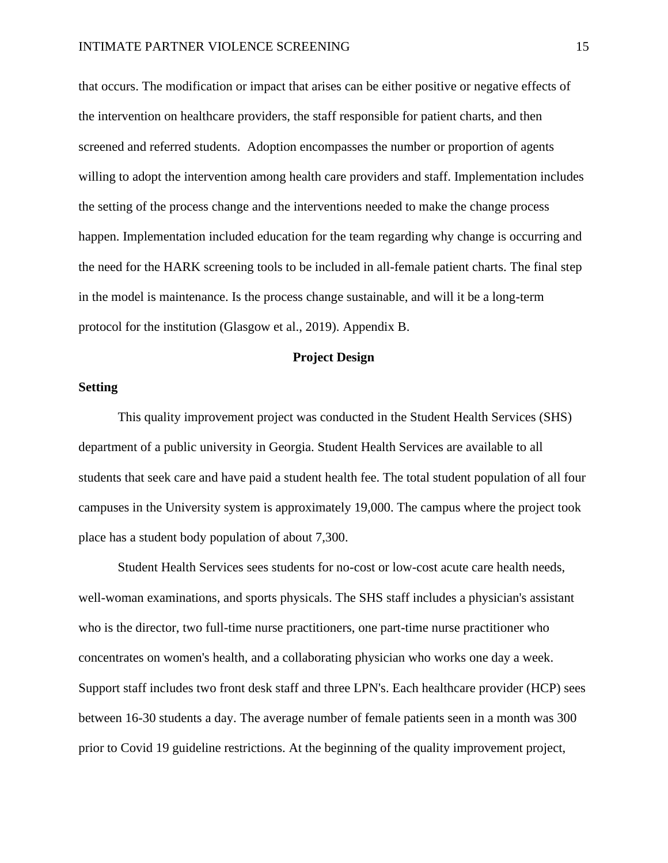that occurs. The modification or impact that arises can be either positive or negative effects of the intervention on healthcare providers, the staff responsible for patient charts, and then screened and referred students. Adoption encompasses the number or proportion of agents willing to adopt the intervention among health care providers and staff. Implementation includes the setting of the process change and the interventions needed to make the change process happen. Implementation included education for the team regarding why change is occurring and the need for the HARK screening tools to be included in all-female patient charts. The final step in the model is maintenance. Is the process change sustainable, and will it be a long-term protocol for the institution (Glasgow et al., 2019). Appendix B.

## **Project Design**

#### <span id="page-15-1"></span><span id="page-15-0"></span>**Setting**

This quality improvement project was conducted in the Student Health Services (SHS) department of a public university in Georgia. Student Health Services are available to all students that seek care and have paid a student health fee. The total student population of all four campuses in the University system is approximately 19,000. The campus where the project took place has a student body population of about 7,300.

Student Health Services sees students for no-cost or low-cost acute care health needs, well-woman examinations, and sports physicals. The SHS staff includes a physician's assistant who is the director, two full-time nurse practitioners, one part-time nurse practitioner who concentrates on women's health, and a collaborating physician who works one day a week. Support staff includes two front desk staff and three LPN's. Each healthcare provider (HCP) sees between 16-30 students a day. The average number of female patients seen in a month was 300 prior to Covid 19 guideline restrictions. At the beginning of the quality improvement project,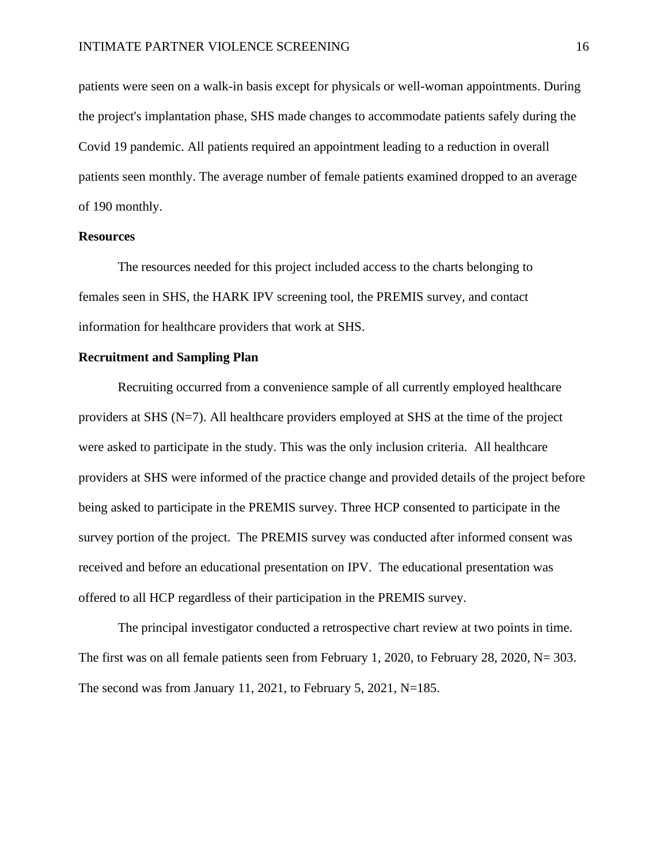patients were seen on a walk-in basis except for physicals or well-woman appointments. During the project's implantation phase, SHS made changes to accommodate patients safely during the Covid 19 pandemic. All patients required an appointment leading to a reduction in overall patients seen monthly. The average number of female patients examined dropped to an average of 190 monthly.

#### <span id="page-16-0"></span>**Resources**

The resources needed for this project included access to the charts belonging to females seen in SHS, the HARK IPV screening tool, the PREMIS survey, and contact information for healthcare providers that work at SHS.

## <span id="page-16-1"></span>**Recruitment and Sampling Plan**

Recruiting occurred from a convenience sample of all currently employed healthcare providers at SHS  $(N=7)$ . All healthcare providers employed at SHS at the time of the project were asked to participate in the study. This was the only inclusion criteria. All healthcare providers at SHS were informed of the practice change and provided details of the project before being asked to participate in the PREMIS survey. Three HCP consented to participate in the survey portion of the project. The PREMIS survey was conducted after informed consent was received and before an educational presentation on IPV. The educational presentation was offered to all HCP regardless of their participation in the PREMIS survey.

The principal investigator conducted a retrospective chart review at two points in time. The first was on all female patients seen from February 1, 2020, to February 28, 2020, N= 303. The second was from January 11, 2021, to February 5, 2021, N=185.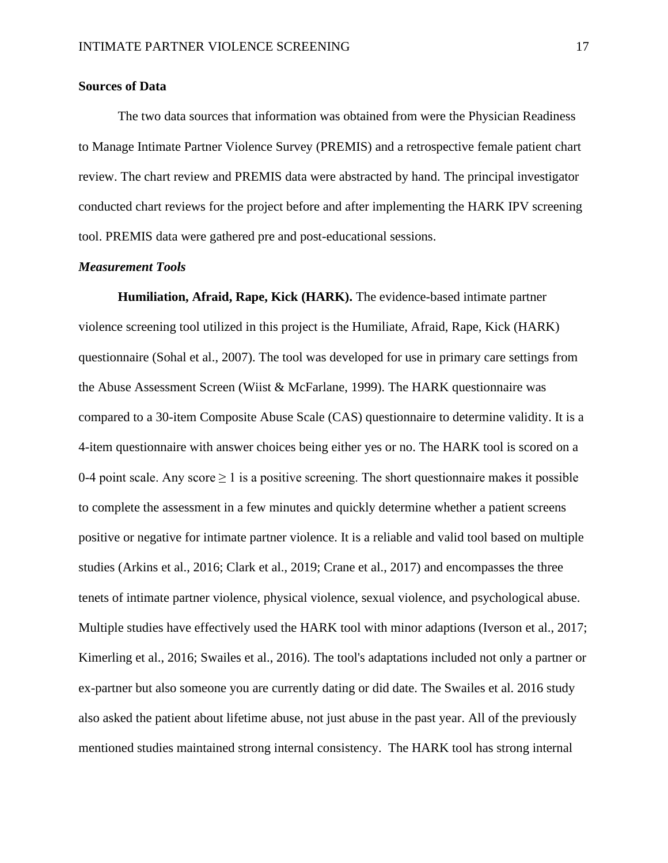#### <span id="page-17-2"></span><span id="page-17-0"></span>**Sources of Data**

The two data sources that information was obtained from were the Physician Readiness to Manage Intimate Partner Violence Survey (PREMIS) and a retrospective female patient chart review. The chart review and PREMIS data were abstracted by hand. The principal investigator conducted chart reviews for the project before and after implementing the HARK IPV screening tool. PREMIS data were gathered pre and post-educational sessions.

#### <span id="page-17-1"></span>*Measurement Tools*

**Humiliation, Afraid, Rape, Kick (HARK).** The evidence-based intimate partner violence screening tool utilized in this project is the Humiliate, Afraid, Rape, Kick (HARK) questionnaire (Sohal et al., 2007). The tool was developed for use in primary care settings from the Abuse Assessment Screen (Wiist & McFarlane, 1999). The HARK questionnaire was compared to a 30-item Composite Abuse Scale (CAS) questionnaire to determine validity. It is a 4-item questionnaire with answer choices being either yes or no. The HARK tool is scored on a 0-4 point scale. Any score  $\geq 1$  is a positive screening. The short questionnaire makes it possible to complete the assessment in a few minutes and quickly determine whether a patient screens positive or negative for intimate partner violence. It is a reliable and valid tool based on multiple studies (Arkins et al., 2016; Clark et al., 2019; Crane et al., 2017) and encompasses the three tenets of intimate partner violence, physical violence, sexual violence, and psychological abuse. Multiple studies have effectively used the HARK tool with minor adaptions (Iverson et al., 2017; Kimerling et al., 2016; Swailes et al., 2016). The tool's adaptations included not only a partner or ex-partner but also someone you are currently dating or did date. The Swailes et al. 2016 study also asked the patient about lifetime abuse, not just abuse in the past year. All of the previously mentioned studies maintained strong internal consistency. The HARK tool has strong internal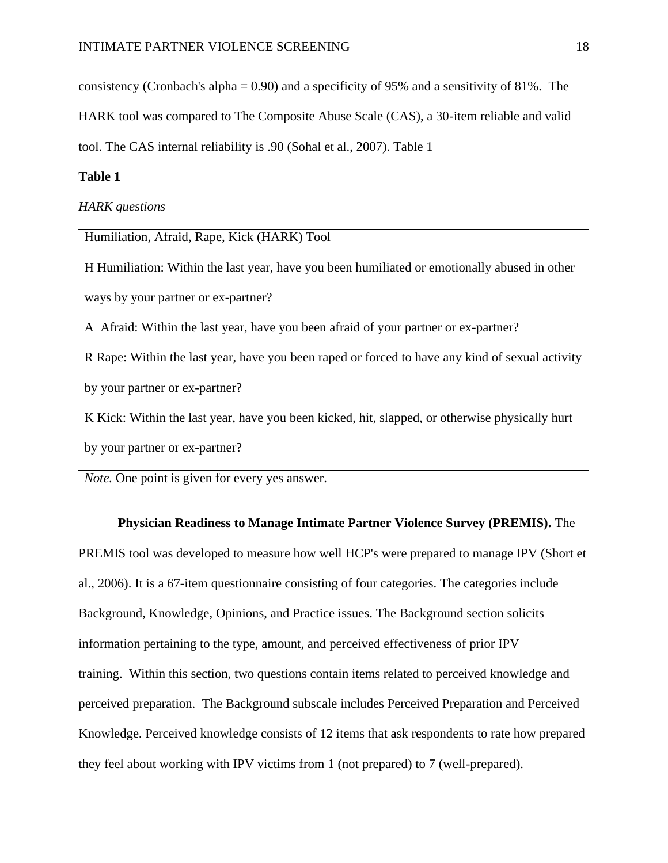<span id="page-18-0"></span>consistency (Cronbach's alpha = 0.90) and a specificity of 95% and a sensitivity of 81%. The

HARK tool was compared to The Composite Abuse Scale (CAS), a 30-item reliable and valid

tool. The CAS internal reliability is .90 (Sohal et al., 2007). Table 1

## **Table 1**

*HARK questions*

Humiliation, Afraid, Rape, Kick (HARK) Tool

H Humiliation: Within the last year, have you been humiliated or emotionally abused in other ways by your partner or ex-partner?

A Afraid: Within the last year, have you been afraid of your partner or ex-partner?

R Rape: Within the last year, have you been raped or forced to have any kind of sexual activity by your partner or ex-partner?

K Kick: Within the last year, have you been kicked, hit, slapped, or otherwise physically hurt

by your partner or ex-partner?

*Note.* One point is given for every yes answer.

#### **Physician Readiness to Manage Intimate Partner Violence Survey (PREMIS).** The

PREMIS tool was developed to measure how well HCP's were prepared to manage IPV (Short et al., 2006). It is a 67-item questionnaire consisting of four categories. The categories include Background, Knowledge, Opinions, and Practice issues. The Background section solicits information pertaining to the type, amount, and perceived effectiveness of prior IPV training. Within this section, two questions contain items related to perceived knowledge and perceived preparation. The Background subscale includes Perceived Preparation and Perceived Knowledge. Perceived knowledge consists of 12 items that ask respondents to rate how prepared they feel about working with IPV victims from 1 (not prepared) to 7 (well-prepared).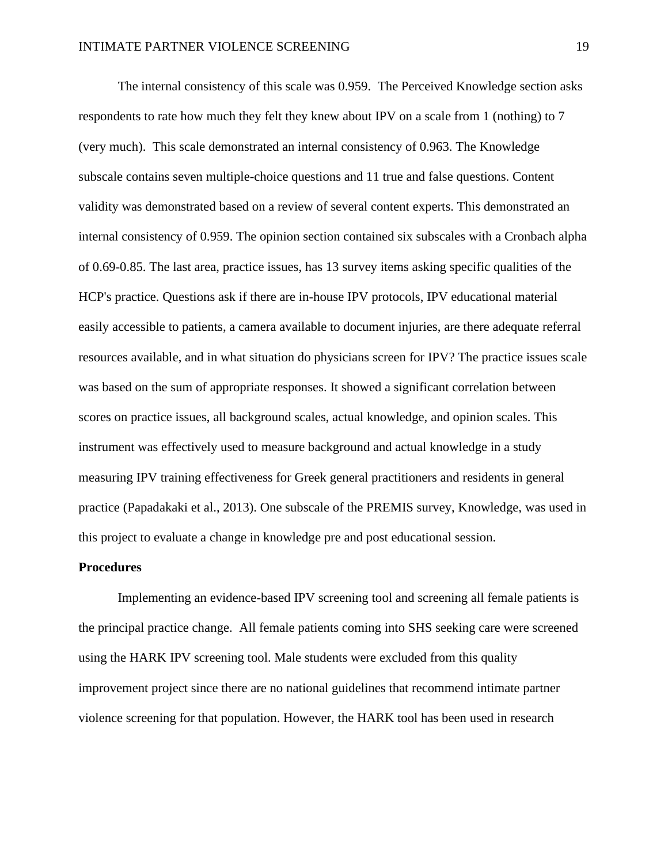The internal consistency of this scale was 0.959. The Perceived Knowledge section asks respondents to rate how much they felt they knew about IPV on a scale from 1 (nothing) to 7 (very much). This scale demonstrated an internal consistency of 0.963. The Knowledge subscale contains seven multiple-choice questions and 11 true and false questions. Content validity was demonstrated based on a review of several content experts. This demonstrated an internal consistency of 0.959. The opinion section contained six subscales with a Cronbach alpha of 0.69-0.85. The last area, practice issues, has 13 survey items asking specific qualities of the HCP's practice. Questions ask if there are in-house IPV protocols, IPV educational material easily accessible to patients, a camera available to document injuries, are there adequate referral resources available, and in what situation do physicians screen for IPV? The practice issues scale was based on the sum of appropriate responses. It showed a significant correlation between scores on practice issues, all background scales, actual knowledge, and opinion scales. This instrument was effectively used to measure background and actual knowledge in a study measuring IPV training effectiveness for Greek general practitioners and residents in general practice (Papadakaki et al., 2013). One subscale of the PREMIS survey, Knowledge, was used in this project to evaluate a change in knowledge pre and post educational session.

#### <span id="page-19-0"></span>**Procedures**

Implementing an evidence-based IPV screening tool and screening all female patients is the principal practice change. All female patients coming into SHS seeking care were screened using the HARK IPV screening tool. Male students were excluded from this quality improvement project since there are no national guidelines that recommend intimate partner violence screening for that population. However, the HARK tool has been used in research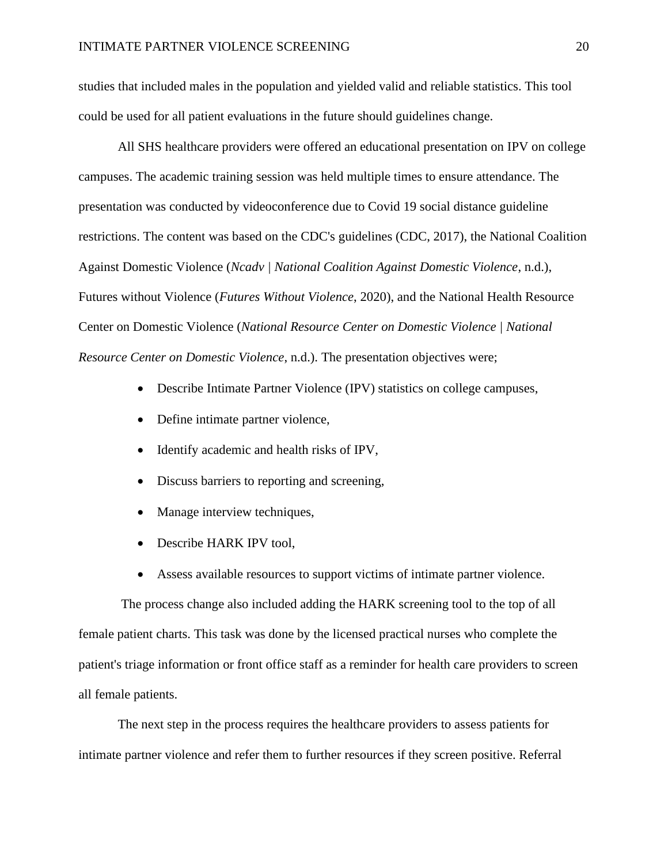studies that included males in the population and yielded valid and reliable statistics. This tool could be used for all patient evaluations in the future should guidelines change.

All SHS healthcare providers were offered an educational presentation on IPV on college campuses. The academic training session was held multiple times to ensure attendance. The presentation was conducted by videoconference due to Covid 19 social distance guideline restrictions. The content was based on the CDC's guidelines (CDC, 2017), the National Coalition Against Domestic Violence (*Ncadv | National Coalition Against Domestic Violence*, n.d.), Futures without Violence (*Futures Without Violence*, 2020), and the National Health Resource Center on Domestic Violence (*National Resource Center on Domestic Violence | National Resource Center on Domestic Violence*, n.d.). The presentation objectives were;

- Describe Intimate Partner Violence (IPV) statistics on college campuses,
- Define intimate partner violence,
- Identify academic and health risks of IPV,
- Discuss barriers to reporting and screening,
- Manage interview techniques,
- Describe HARK IPV tool,
- Assess available resources to support victims of intimate partner violence.

The process change also included adding the HARK screening tool to the top of all female patient charts. This task was done by the licensed practical nurses who complete the patient's triage information or front office staff as a reminder for health care providers to screen all female patients.

The next step in the process requires the healthcare providers to assess patients for intimate partner violence and refer them to further resources if they screen positive. Referral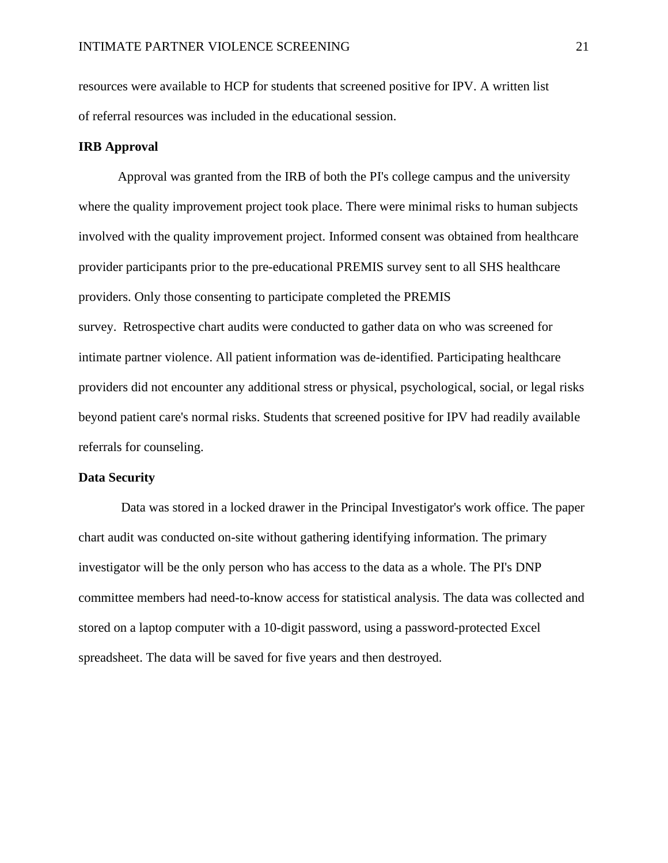resources were available to HCP for students that screened positive for IPV. A written list of referral resources was included in the educational session.

#### <span id="page-21-0"></span>**IRB Approval**

Approval was granted from the IRB of both the PI's college campus and the university where the quality improvement project took place. There were minimal risks to human subjects involved with the quality improvement project. Informed consent was obtained from healthcare provider participants prior to the pre-educational PREMIS survey sent to all SHS healthcare providers. Only those consenting to participate completed the PREMIS survey. Retrospective chart audits were conducted to gather data on who was screened for intimate partner violence. All patient information was de-identified. Participating healthcare providers did not encounter any additional stress or physical, psychological, social, or legal risks beyond patient care's normal risks. Students that screened positive for IPV had readily available referrals for counseling.

#### <span id="page-21-1"></span>**Data Security**

Data was stored in a locked drawer in the Principal Investigator's work office. The paper chart audit was conducted on-site without gathering identifying information. The primary investigator will be the only person who has access to the data as a whole. The PI's DNP committee members had need-to-know access for statistical analysis. The data was collected and stored on a laptop computer with a 10-digit password, using a password-protected Excel spreadsheet. The data will be saved for five years and then destroyed.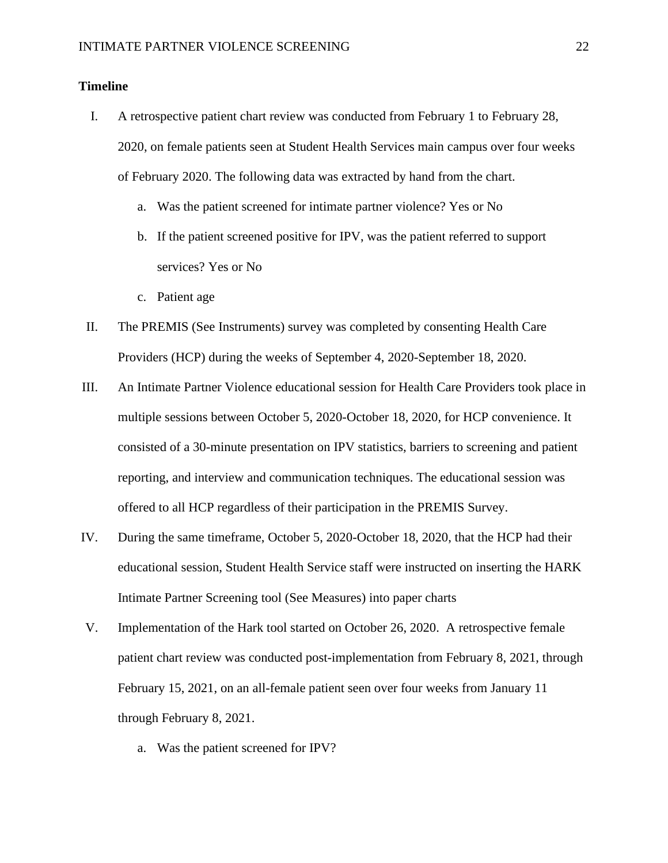## <span id="page-22-0"></span>**Timeline**

- I. A retrospective patient chart review was conducted from February 1 to February 28, 2020, on female patients seen at Student Health Services main campus over four weeks of February 2020. The following data was extracted by hand from the chart.
	- a. Was the patient screened for intimate partner violence? Yes or No
	- b. If the patient screened positive for IPV, was the patient referred to support services? Yes or No
	- c. Patient age
- II. The PREMIS (See Instruments) survey was completed by consenting Health Care Providers (HCP) during the weeks of September 4, 2020-September 18, 2020.
- III. An Intimate Partner Violence educational session for Health Care Providers took place in multiple sessions between October 5, 2020-October 18, 2020, for HCP convenience. It consisted of a 30-minute presentation on IPV statistics, barriers to screening and patient reporting, and interview and communication techniques. The educational session was offered to all HCP regardless of their participation in the PREMIS Survey.
- IV. During the same timeframe, October 5, 2020-October 18, 2020, that the HCP had their educational session, Student Health Service staff were instructed on inserting the HARK Intimate Partner Screening tool (See Measures) into paper charts
- V. Implementation of the Hark tool started on October 26, 2020. A retrospective female patient chart review was conducted post-implementation from February 8, 2021, through February 15, 2021, on an all-female patient seen over four weeks from January 11 through February 8, 2021.
	- a. Was the patient screened for IPV?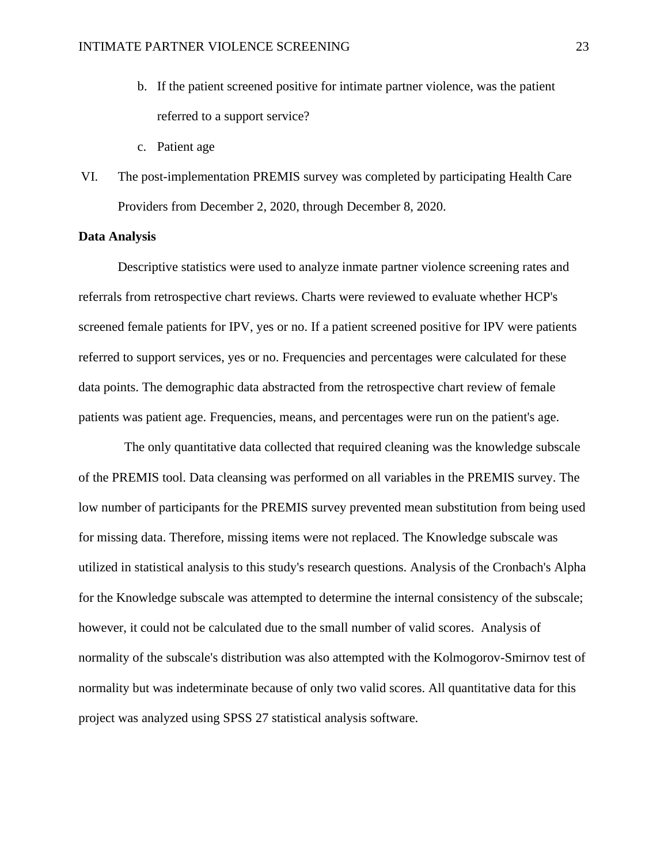- b. If the patient screened positive for intimate partner violence, was the patient referred to a support service?
- c. Patient age
- VI. The post-implementation PREMIS survey was completed by participating Health Care Providers from December 2, 2020, through December 8, 2020.

## <span id="page-23-0"></span>**Data Analysis**

Descriptive statistics were used to analyze inmate partner violence screening rates and referrals from retrospective chart reviews. Charts were reviewed to evaluate whether HCP's screened female patients for IPV, yes or no. If a patient screened positive for IPV were patients referred to support services, yes or no. Frequencies and percentages were calculated for these data points. The demographic data abstracted from the retrospective chart review of female patients was patient age. Frequencies, means, and percentages were run on the patient's age.

 The only quantitative data collected that required cleaning was the knowledge subscale of the PREMIS tool. Data cleansing was performed on all variables in the PREMIS survey. The low number of participants for the PREMIS survey prevented mean substitution from being used for missing data. Therefore, missing items were not replaced. The Knowledge subscale was utilized in statistical analysis to this study's research questions. Analysis of the Cronbach's Alpha for the Knowledge subscale was attempted to determine the internal consistency of the subscale; however, it could not be calculated due to the small number of valid scores. Analysis of normality of the subscale's distribution was also attempted with the Kolmogorov-Smirnov test of normality but was indeterminate because of only two valid scores. All quantitative data for this project was analyzed using SPSS 27 statistical analysis software.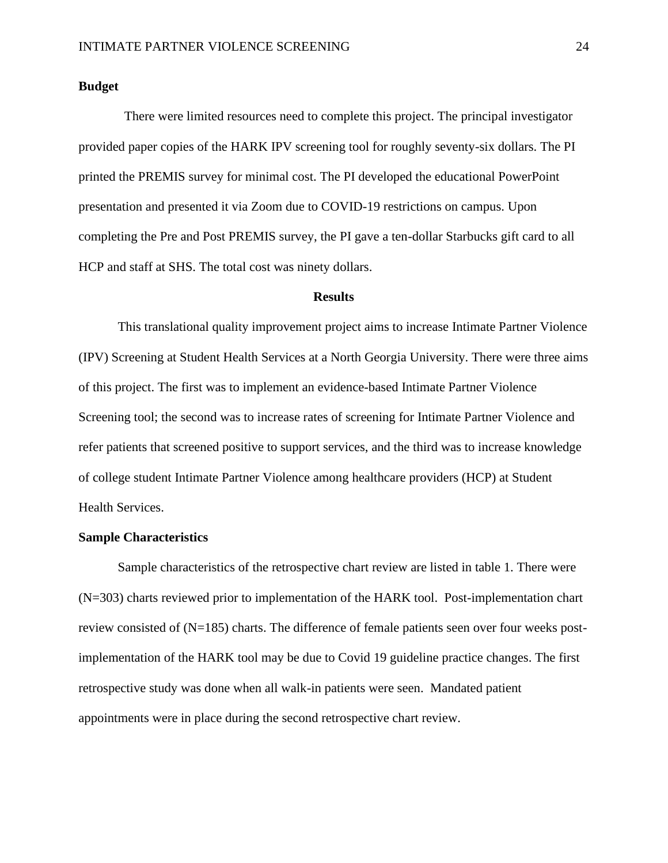#### <span id="page-24-0"></span>**Budget**

 There were limited resources need to complete this project. The principal investigator provided paper copies of the HARK IPV screening tool for roughly seventy-six dollars. The PI printed the PREMIS survey for minimal cost. The PI developed the educational PowerPoint presentation and presented it via Zoom due to COVID-19 restrictions on campus. Upon completing the Pre and Post PREMIS survey, the PI gave a ten-dollar Starbucks gift card to all HCP and staff at SHS. The total cost was ninety dollars.

#### **Results**

<span id="page-24-1"></span>This translational quality improvement project aims to increase Intimate Partner Violence (IPV) Screening at Student Health Services at a North Georgia University. There were three aims of this project. The first was to implement an evidence-based Intimate Partner Violence Screening tool; the second was to increase rates of screening for Intimate Partner Violence and refer patients that screened positive to support services, and the third was to increase knowledge of college student Intimate Partner Violence among healthcare providers (HCP) at Student Health Services.

#### **Sample Characteristics**

Sample characteristics of the retrospective chart review are listed in table 1. There were (N=303) charts reviewed prior to implementation of the HARK tool. Post-implementation chart review consisted of (N=185) charts. The difference of female patients seen over four weeks postimplementation of the HARK tool may be due to Covid 19 guideline practice changes. The first retrospective study was done when all walk-in patients were seen. Mandated patient appointments were in place during the second retrospective chart review.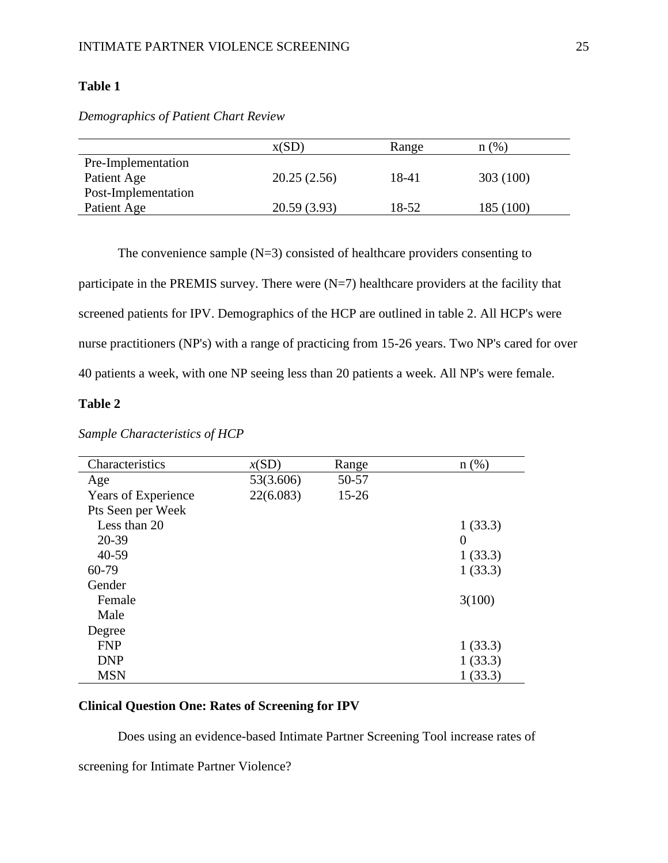## **Table 1**

*Demographics of Patient Chart Review*

|                     | X(SD)       | Range | (%)<br>n ( |
|---------------------|-------------|-------|------------|
| Pre-Implementation  |             |       |            |
| Patient Age         | 20.25(2.56) | 18-41 | 303 (100)  |
| Post-Implementation |             |       |            |
| Patient Age         | 20.59(3.93) | 18-52 | 185 (100)  |

The convenience sample  $(N=3)$  consisted of healthcare providers consenting to

participate in the PREMIS survey. There were  $(N=7)$  healthcare providers at the facility that screened patients for IPV. Demographics of the HCP are outlined in table 2. All HCP's were nurse practitioners (NP's) with a range of practicing from 15-26 years. Two NP's cared for over 40 patients a week, with one NP seeing less than 20 patients a week. All NP's were female.

## **Table 2**

| Characteristics     | x(SD)     | Range     | $n$ (%)        |
|---------------------|-----------|-----------|----------------|
| Age                 | 53(3.606) | 50-57     |                |
| Years of Experience | 22(6.083) | $15 - 26$ |                |
| Pts Seen per Week   |           |           |                |
| Less than 20        |           |           | 1(33.3)        |
| 20-39               |           |           | $\overline{0}$ |
| $40 - 59$           |           |           | 1(33.3)        |
| 60-79               |           |           | 1(33.3)        |
| Gender              |           |           |                |
| Female              |           |           | 3(100)         |
| Male                |           |           |                |
| Degree              |           |           |                |
| <b>FNP</b>          |           |           | 1(33.3)        |
| <b>DNP</b>          |           |           | 1(33.3)        |
| <b>MSN</b>          |           |           | 1(33.3)        |

*Sample Characteristics of HCP*

## <span id="page-25-0"></span>**Clinical Question One: Rates of Screening for IPV**

Does using an evidence-based Intimate Partner Screening Tool increase rates of screening for Intimate Partner Violence?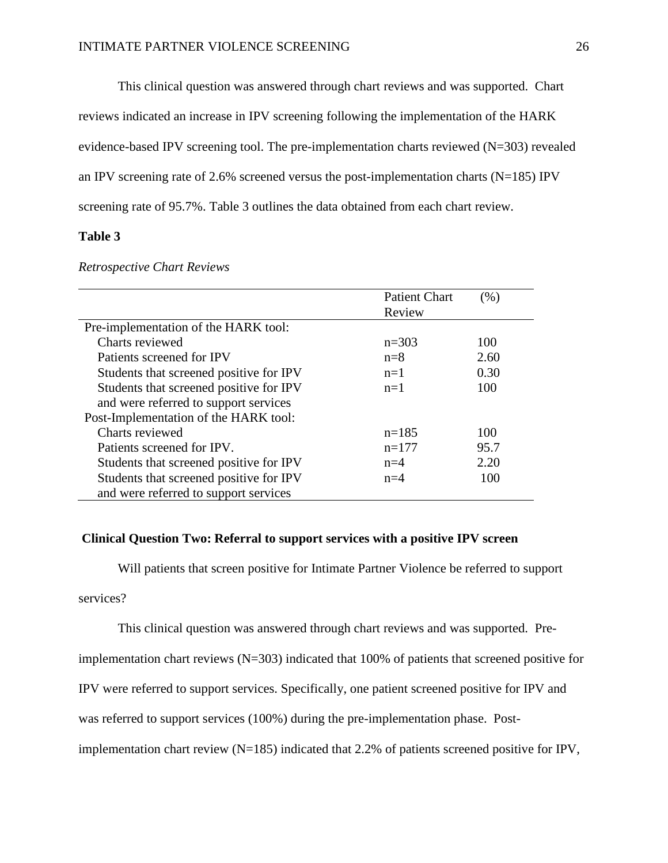This clinical question was answered through chart reviews and was supported. Chart

reviews indicated an increase in IPV screening following the implementation of the HARK

evidence-based IPV screening tool. The pre-implementation charts reviewed (N=303) revealed

an IPV screening rate of 2.6% screened versus the post-implementation charts ( $N=185$ ) IPV

screening rate of 95.7%. Table 3 outlines the data obtained from each chart review.

## **Table 3**

|                                         | <b>Patient Chart</b> | $(\%)$ |
|-----------------------------------------|----------------------|--------|
|                                         | Review               |        |
| Pre-implementation of the HARK tool:    |                      |        |
| Charts reviewed                         | $n=303$              | 100    |
| Patients screened for IPV               | $n=8$                | 2.60   |
| Students that screened positive for IPV | $n=1$                | 0.30   |
| Students that screened positive for IPV | $n=1$                | 100    |
| and were referred to support services   |                      |        |
| Post-Implementation of the HARK tool:   |                      |        |
| Charts reviewed                         | $n=185$              | 100    |
| Patients screened for IPV.              | $n=177$              | 95.7   |
| Students that screened positive for IPV | $n=4$                | 2.20   |
| Students that screened positive for IPV | $n=4$                | 100    |
| and were referred to support services   |                      |        |

#### *Retrospective Chart Reviews*

## <span id="page-26-0"></span>**Clinical Question Two: Referral to support services with a positive IPV screen**

Will patients that screen positive for Intimate Partner Violence be referred to support

services?

This clinical question was answered through chart reviews and was supported. Pre-

implementation chart reviews (N=303) indicated that 100% of patients that screened positive for

IPV were referred to support services. Specifically, one patient screened positive for IPV and

was referred to support services (100%) during the pre-implementation phase. Post-

implementation chart review (N=185) indicated that 2.2% of patients screened positive for IPV,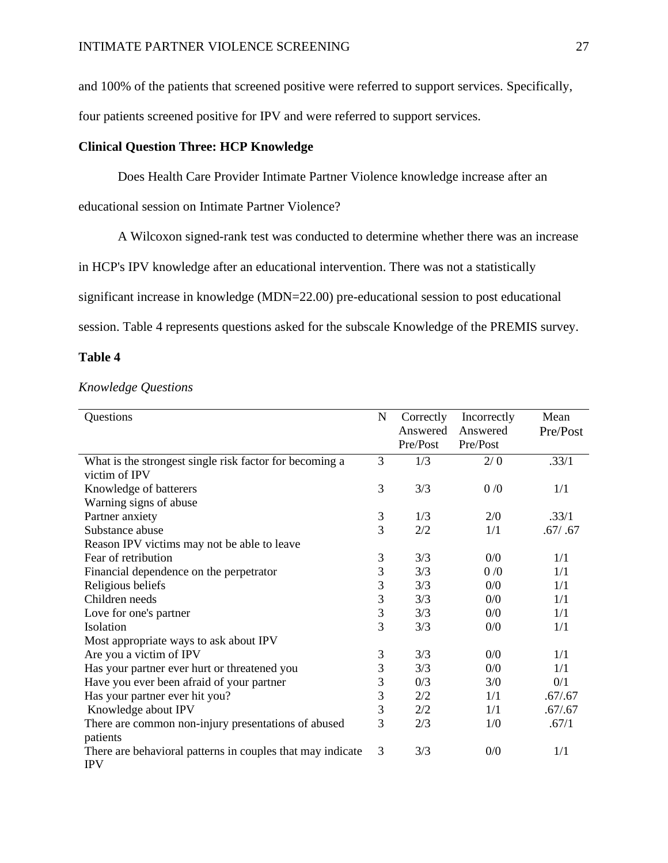and 100% of the patients that screened positive were referred to support services. Specifically,

four patients screened positive for IPV and were referred to support services.

## <span id="page-27-0"></span>**Clinical Question Three: HCP Knowledge**

Does Health Care Provider Intimate Partner Violence knowledge increase after an

educational session on Intimate Partner Violence?

A Wilcoxon signed-rank test was conducted to determine whether there was an increase

in HCP's IPV knowledge after an educational intervention. There was not a statistically

significant increase in knowledge (MDN=22.00) pre-educational session to post educational

session. Table 4 represents questions asked for the subscale Knowledge of the PREMIS survey.

## **Table 4**

#### *Knowledge Questions*

| Questions                                                                            | ${\bf N}$      | Correctly<br>Answered | Incorrectly<br>Answered | Mean<br>Pre/Post |
|--------------------------------------------------------------------------------------|----------------|-----------------------|-------------------------|------------------|
|                                                                                      |                | Pre/Post              | Pre/Post                |                  |
| What is the strongest single risk factor for becoming a                              | 3              | 1/3                   | 2/0                     | .33/1            |
| victim of IPV                                                                        |                |                       |                         |                  |
| Knowledge of batterers                                                               | 3              | 3/3                   | 0/0                     | 1/1              |
| Warning signs of abuse                                                               |                |                       |                         |                  |
| Partner anxiety                                                                      | $\mathfrak{Z}$ | 1/3                   | 2/0                     | .33/1            |
| Substance abuse                                                                      | 3              | 2/2                   | 1/1                     | .67/ .67         |
| Reason IPV victims may not be able to leave                                          |                |                       |                         |                  |
| Fear of retribution                                                                  | 3              | 3/3                   | 0/0                     | 1/1              |
| Financial dependence on the perpetrator                                              | 3              | 3/3                   | 0/0                     | 1/1              |
| Religious beliefs                                                                    | 3              | 3/3                   | 0/0                     | 1/1              |
| Children needs                                                                       | 3              | 3/3                   | 0/0                     | 1/1              |
| Love for one's partner                                                               | 3              | 3/3                   | 0/0                     | 1/1              |
| Isolation                                                                            | 3              | 3/3                   | 0/0                     | 1/1              |
| Most appropriate ways to ask about IPV                                               |                |                       |                         |                  |
| Are you a victim of IPV                                                              | 3              | 3/3                   | 0/0                     | 1/1              |
| Has your partner ever hurt or threatened you                                         | 3              | 3/3                   | 0/0                     | 1/1              |
| Have you ever been afraid of your partner                                            | 3              | 0/3                   | 3/0                     | 0/1              |
| Has your partner ever hit you?                                                       | 3              | 2/2                   | 1/1                     | .67/0.67         |
| Knowledge about IPV                                                                  | 3              | 2/2                   | 1/1                     | .67/0.67         |
| There are common non-injury presentations of abused                                  | 3              | 2/3                   | 1/0                     | .67/1            |
| patients<br>There are behavioral patterns in couples that may indicate<br><b>IPV</b> | 3              | 3/3                   | 0/0                     | 1/1              |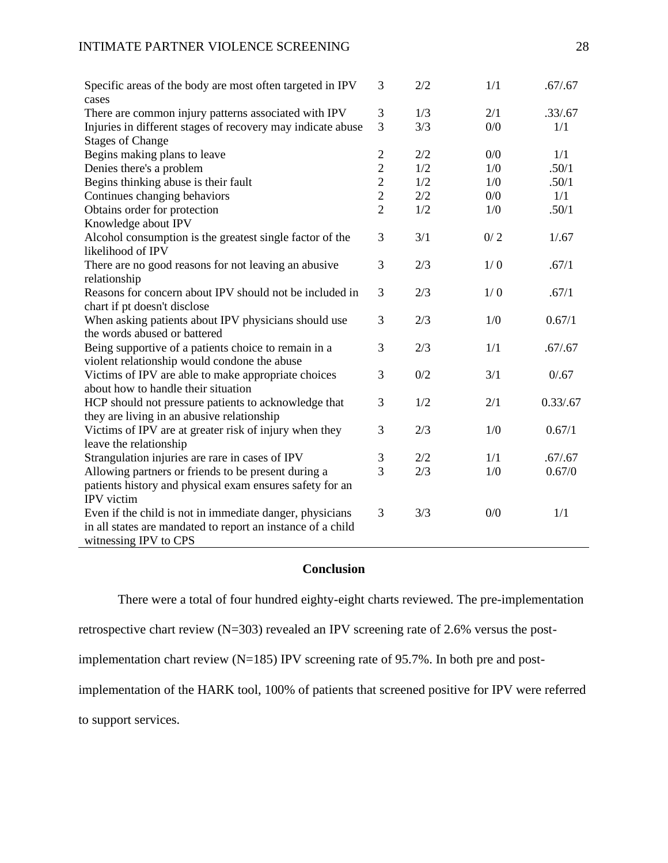| Specific areas of the body are most often targeted in IPV<br>cases            | 3              | 2/2 | 1/1   | .67/0.67  |
|-------------------------------------------------------------------------------|----------------|-----|-------|-----------|
| There are common injury patterns associated with IPV                          | 3              | 1/3 | 2/1   | .33/.67   |
| Injuries in different stages of recovery may indicate abuse                   | 3              | 3/3 | 0/0   | 1/1       |
| <b>Stages of Change</b>                                                       |                |     |       |           |
| Begins making plans to leave                                                  | $\mathbf{2}$   | 2/2 | 0/0   | 1/1       |
| Denies there's a problem                                                      | $\overline{c}$ | 1/2 | 1/0   | .50/1     |
| Begins thinking abuse is their fault                                          | $\overline{c}$ | 1/2 | 1/0   | .50/1     |
| Continues changing behaviors                                                  | $\overline{c}$ | 2/2 | $0/0$ | 1/1       |
| Obtains order for protection                                                  | $\overline{2}$ | 1/2 | 1/0   | .50/1     |
| Knowledge about IPV                                                           |                |     |       |           |
| Alcohol consumption is the greatest single factor of the<br>likelihood of IPV | 3              | 3/1 | 0/2   | 1/.67     |
| There are no good reasons for not leaving an abusive<br>relationship          | 3              | 2/3 | 1/0   | .67/1     |
| Reasons for concern about IPV should not be included in                       | 3              | 2/3 | 1/0   | .67/1     |
| chart if pt doesn't disclose                                                  |                |     |       |           |
| When asking patients about IPV physicians should use                          | 3              | 2/3 | 1/0   | 0.67/1    |
| the words abused or battered                                                  |                |     |       |           |
| Being supportive of a patients choice to remain in a                          | 3              | 2/3 | 1/1   | .67/0.67  |
| violent relationship would condone the abuse                                  |                |     |       |           |
| Victims of IPV are able to make appropriate choices                           | 3              | 0/2 | 3/1   | 0/0.67    |
| about how to handle their situation                                           |                |     |       |           |
| HCP should not pressure patients to acknowledge that                          | 3              | 1/2 | 2/1   | 0.33/0.67 |
| they are living in an abusive relationship                                    |                |     |       |           |
| Victims of IPV are at greater risk of injury when they                        | 3              | 2/3 | 1/0   | 0.67/1    |
| leave the relationship                                                        |                |     |       |           |
| Strangulation injuries are rare in cases of IPV                               | 3              | 2/2 | 1/1   | .67/0.67  |
| Allowing partners or friends to be present during a                           | 3              | 2/3 | 1/0   | 0.67/0    |
| patients history and physical exam ensures safety for an                      |                |     |       |           |
| IPV victim                                                                    |                |     |       |           |
| Even if the child is not in immediate danger, physicians                      | 3              | 3/3 | 0/0   | 1/1       |
| in all states are mandated to report an instance of a child                   |                |     |       |           |
| witnessing IPV to CPS                                                         |                |     |       |           |

## **Conclusion**

<span id="page-28-0"></span>There were a total of four hundred eighty-eight charts reviewed. The pre-implementation

retrospective chart review (N=303) revealed an IPV screening rate of 2.6% versus the post-

implementation chart review (N=185) IPV screening rate of 95.7%. In both pre and post-

implementation of the HARK tool, 100% of patients that screened positive for IPV were referred

to support services.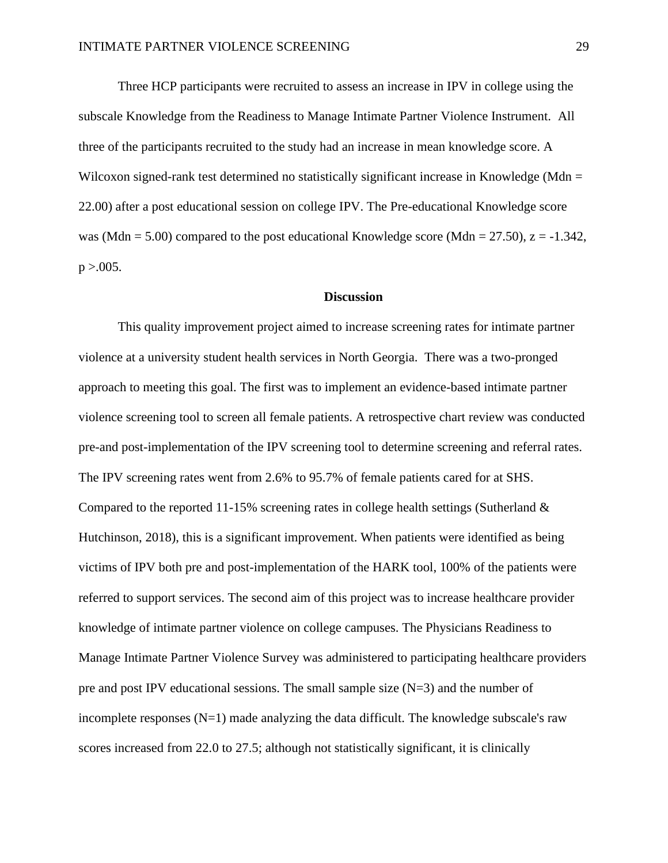Three HCP participants were recruited to assess an increase in IPV in college using the subscale Knowledge from the Readiness to Manage Intimate Partner Violence Instrument. All three of the participants recruited to the study had an increase in mean knowledge score. A Wilcoxon signed-rank test determined no statistically significant increase in Knowledge (Mdn  $=$ 22.00) after a post educational session on college IPV. The Pre-educational Knowledge score was (Mdn = 5.00) compared to the post educational Knowledge score (Mdn = 27.50),  $z = -1.342$ ,  $p > .005$ .

#### **Discussion**

This quality improvement project aimed to increase screening rates for intimate partner violence at a university student health services in North Georgia. There was a two-pronged approach to meeting this goal. The first was to implement an evidence-based intimate partner violence screening tool to screen all female patients. A retrospective chart review was conducted pre-and post-implementation of the IPV screening tool to determine screening and referral rates. The IPV screening rates went from 2.6% to 95.7% of female patients cared for at SHS. Compared to the reported 11-15% screening rates in college health settings (Sutherland  $\&$ Hutchinson, 2018), this is a significant improvement. When patients were identified as being victims of IPV both pre and post-implementation of the HARK tool, 100% of the patients were referred to support services. The second aim of this project was to increase healthcare provider knowledge of intimate partner violence on college campuses. The Physicians Readiness to Manage Intimate Partner Violence Survey was administered to participating healthcare providers pre and post IPV educational sessions. The small sample size (N=3) and the number of incomplete responses  $(N=1)$  made analyzing the data difficult. The knowledge subscale's raw scores increased from 22.0 to 27.5; although not statistically significant, it is clinically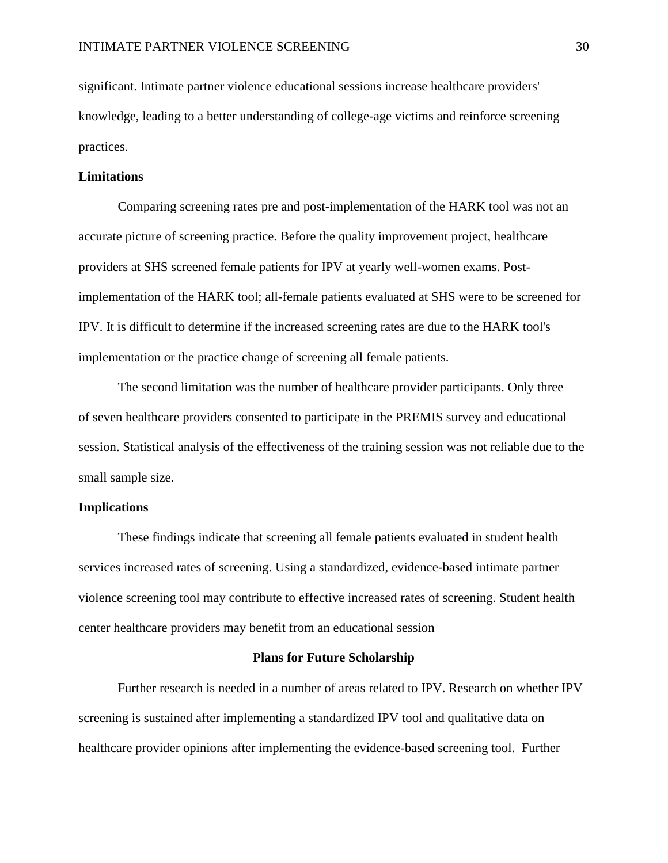significant. Intimate partner violence educational sessions increase healthcare providers' knowledge, leading to a better understanding of college-age victims and reinforce screening practices.

#### <span id="page-30-0"></span>**Limitations**

Comparing screening rates pre and post-implementation of the HARK tool was not an accurate picture of screening practice. Before the quality improvement project, healthcare providers at SHS screened female patients for IPV at yearly well-women exams. Postimplementation of the HARK tool; all-female patients evaluated at SHS were to be screened for IPV. It is difficult to determine if the increased screening rates are due to the HARK tool's implementation or the practice change of screening all female patients.

The second limitation was the number of healthcare provider participants. Only three of seven healthcare providers consented to participate in the PREMIS survey and educational session. Statistical analysis of the effectiveness of the training session was not reliable due to the small sample size.

#### <span id="page-30-1"></span>**Implications**

These findings indicate that screening all female patients evaluated in student health services increased rates of screening. Using a standardized, evidence-based intimate partner violence screening tool may contribute to effective increased rates of screening. Student health center healthcare providers may benefit from an educational session

#### **Plans for Future Scholarship**

<span id="page-30-2"></span>Further research is needed in a number of areas related to IPV. Research on whether IPV screening is sustained after implementing a standardized IPV tool and qualitative data on healthcare provider opinions after implementing the evidence-based screening tool. Further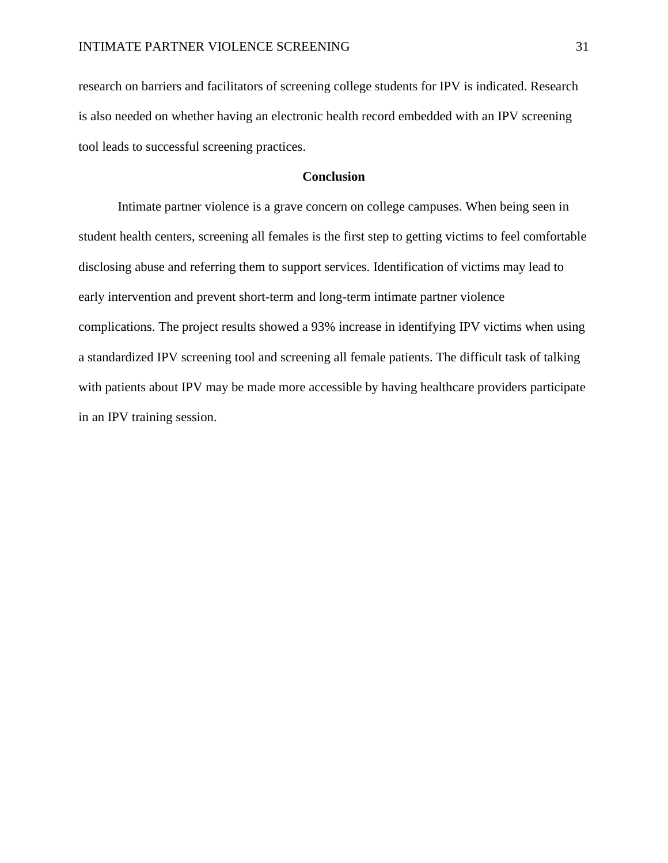research on barriers and facilitators of screening college students for IPV is indicated. Research is also needed on whether having an electronic health record embedded with an IPV screening tool leads to successful screening practices.

## **Conclusion**

<span id="page-31-0"></span>Intimate partner violence is a grave concern on college campuses. When being seen in student health centers, screening all females is the first step to getting victims to feel comfortable disclosing abuse and referring them to support services. Identification of victims may lead to early intervention and prevent short-term and long-term intimate partner violence complications. The project results showed a 93% increase in identifying IPV victims when using a standardized IPV screening tool and screening all female patients. The difficult task of talking with patients about IPV may be made more accessible by having healthcare providers participate in an IPV training session.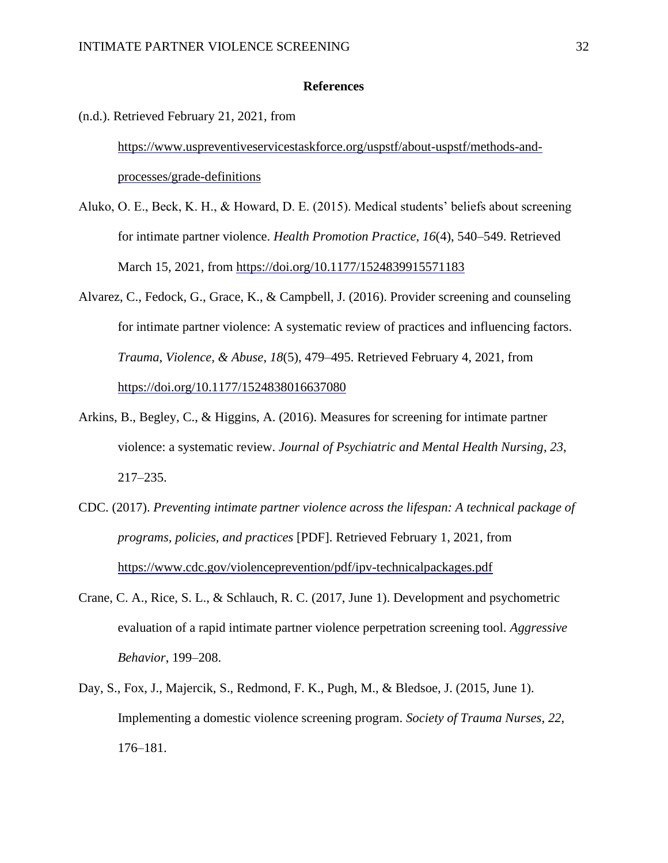#### **References**

<span id="page-32-0"></span>(n.d.). Retrieved February 21, 2021, from

[https://www.uspreventiveservicestaskforce.org/uspstf/about-uspstf/methods-and](https://www.uspreventiveservicestaskforce.org/uspstf/about-uspstf/methods-and-processes/grade-definitions)[processes/grade-definitions](https://www.uspreventiveservicestaskforce.org/uspstf/about-uspstf/methods-and-processes/grade-definitions)

- Aluko, O. E., Beck, K. H., & Howard, D. E. (2015). Medical students' beliefs about screening for intimate partner violence. *Health Promotion Practice*, *16*(4), 540–549. Retrieved March 15, 2021, from<https://doi.org/10.1177/1524839915571183>
- Alvarez, C., Fedock, G., Grace, K., & Campbell, J. (2016). Provider screening and counseling for intimate partner violence: A systematic review of practices and influencing factors. *Trauma, Violence, & Abuse*, *18*(5), 479–495. Retrieved February 4, 2021, from <https://doi.org/10.1177/1524838016637080>
- Arkins, B., Begley, C., & Higgins, A. (2016). Measures for screening for intimate partner violence: a systematic review. *Journal of Psychiatric and Mental Health Nursing*, *23*, 217–235.
- CDC. (2017). *Preventing intimate partner violence across the lifespan: A technical package of programs, policies, and practices* [PDF]. Retrieved February 1, 2021, from <https://www.cdc.gov/violenceprevention/pdf/ipv-technicalpackages.pdf>
- Crane, C. A., Rice, S. L., & Schlauch, R. C. (2017, June 1). Development and psychometric evaluation of a rapid intimate partner violence perpetration screening tool. *Aggressive Behavior*, 199–208.
- Day, S., Fox, J., Majercik, S., Redmond, F. K., Pugh, M., & Bledsoe, J. (2015, June 1). Implementing a domestic violence screening program. *Society of Trauma Nurses*, *22*, 176–181.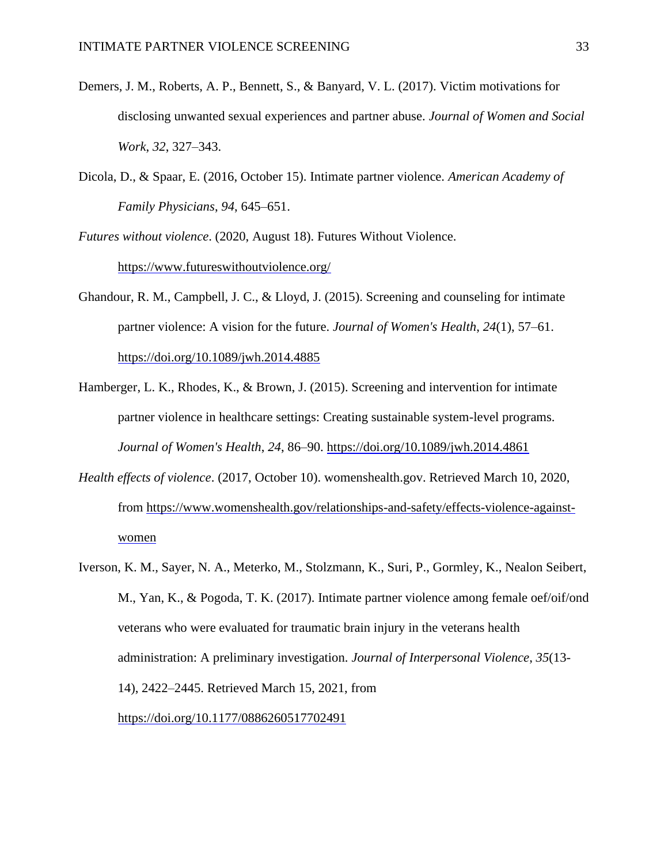- Demers, J. M., Roberts, A. P., Bennett, S., & Banyard, V. L. (2017). Victim motivations for disclosing unwanted sexual experiences and partner abuse. *Journal of Women and Social Work*, *32*, 327–343.
- Dicola, D., & Spaar, E. (2016, October 15). Intimate partner violence. *American Academy of Family Physicians*, *94*, 645–651.
- *Futures without violence*. (2020, August 18). Futures Without Violence. <https://www.futureswithoutviolence.org/>
- Ghandour, R. M., Campbell, J. C., & Lloyd, J. (2015). Screening and counseling for intimate partner violence: A vision for the future. *Journal of Women's Health*, *24*(1), 57–61. <https://doi.org/10.1089/jwh.2014.4885>
- Hamberger, L. K., Rhodes, K., & Brown, J. (2015). Screening and intervention for intimate partner violence in healthcare settings: Creating sustainable system-level programs. *Journal of Women's Health*, *24*, 86–90.<https://doi.org/10.1089/jwh.2014.4861>
- *Health effects of violence*. (2017, October 10). womenshealth.gov. Retrieved March 10, 2020, from [https://www.womenshealth.gov/relationships-and-safety/effects-violence-against](https://www.womenshealth.gov/relationships-and-safety/effects-violence-against-women)[women](https://www.womenshealth.gov/relationships-and-safety/effects-violence-against-women)
- Iverson, K. M., Sayer, N. A., Meterko, M., Stolzmann, K., Suri, P., Gormley, K., Nealon Seibert, M., Yan, K., & Pogoda, T. K. (2017). Intimate partner violence among female oef/oif/ond veterans who were evaluated for traumatic brain injury in the veterans health administration: A preliminary investigation. *Journal of Interpersonal Violence*, *35*(13- 14), 2422–2445. Retrieved March 15, 2021, from <https://doi.org/10.1177/0886260517702491>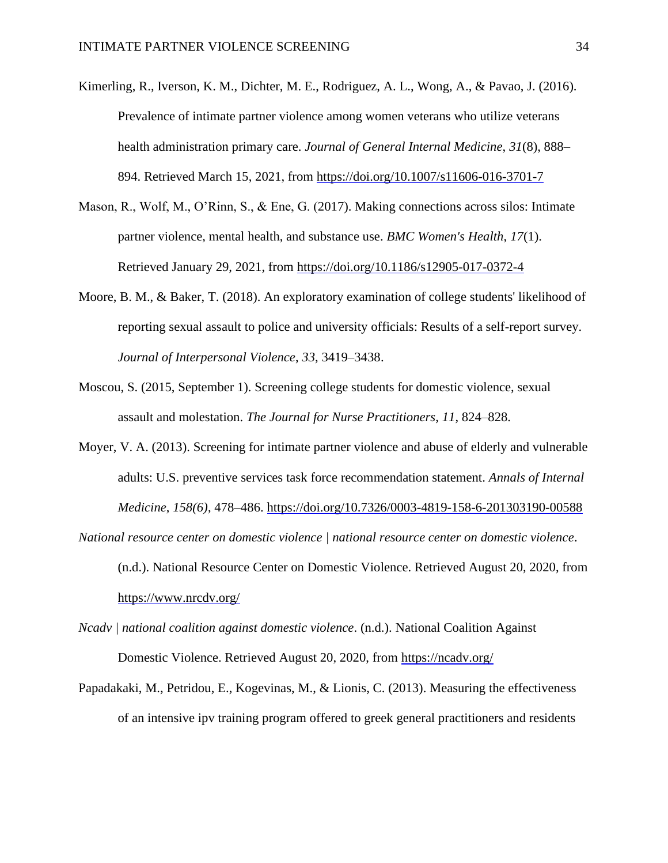- Kimerling, R., Iverson, K. M., Dichter, M. E., Rodriguez, A. L., Wong, A., & Pavao, J. (2016). Prevalence of intimate partner violence among women veterans who utilize veterans health administration primary care. *Journal of General Internal Medicine*, *31*(8), 888– 894. Retrieved March 15, 2021, from<https://doi.org/10.1007/s11606-016-3701-7>
- Mason, R., Wolf, M., O'Rinn, S., & Ene, G. (2017). Making connections across silos: Intimate partner violence, mental health, and substance use. *BMC Women's Health*, *17*(1). Retrieved January 29, 2021, from<https://doi.org/10.1186/s12905-017-0372-4>
- Moore, B. M., & Baker, T. (2018). An exploratory examination of college students' likelihood of reporting sexual assault to police and university officials: Results of a self-report survey. *Journal of Interpersonal Violence*, *33*, 3419–3438.
- Moscou, S. (2015, September 1). Screening college students for domestic violence, sexual assault and molestation. *The Journal for Nurse Practitioners*, *11*, 824–828.
- Moyer, V. A. (2013). Screening for intimate partner violence and abuse of elderly and vulnerable adults: U.S. preventive services task force recommendation statement. *Annals of Internal Medicine*, *158(6)*, 478–486.<https://doi.org/10.7326/0003-4819-158-6-201303190-00588>
- *National resource center on domestic violence | national resource center on domestic violence*. (n.d.). National Resource Center on Domestic Violence. Retrieved August 20, 2020, from <https://www.nrcdv.org/>
- *Ncadv | national coalition against domestic violence*. (n.d.). National Coalition Against Domestic Violence. Retrieved August 20, 2020, from<https://ncadv.org/>
- Papadakaki, M., Petridou, E., Kogevinas, M., & Lionis, C. (2013). Measuring the effectiveness of an intensive ipv training program offered to greek general practitioners and residents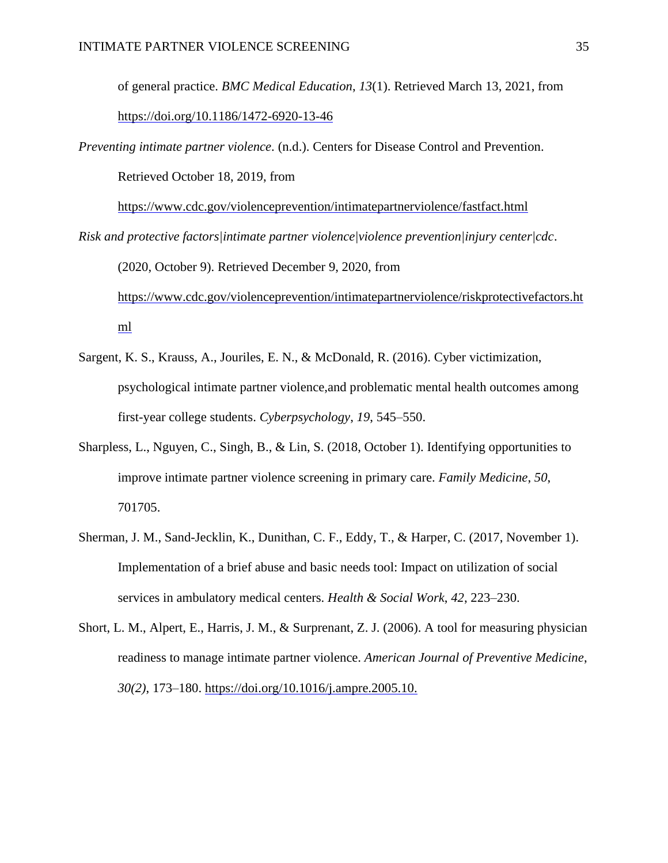of general practice. *BMC Medical Education*, *13*(1). Retrieved March 13, 2021, from <https://doi.org/10.1186/1472-6920-13-46>

*Preventing intimate partner violence*. (n.d.). Centers for Disease Control and Prevention. Retrieved October 18, 2019, from

<https://www.cdc.gov/violenceprevention/intimatepartnerviolence/fastfact.html>

*Risk and protective factors|intimate partner violence|violence prevention|injury center|cdc*.

(2020, October 9). Retrieved December 9, 2020, from [https://www.cdc.gov/violenceprevention/intimatepartnerviolence/riskprotectivefactors.ht](https://www.cdc.gov/violenceprevention/intimatepartnerviolence/riskprotectivefactors.html) [ml](https://www.cdc.gov/violenceprevention/intimatepartnerviolence/riskprotectivefactors.html)

- Sargent, K. S., Krauss, A., Jouriles, E. N., & McDonald, R. (2016). Cyber victimization, psychological intimate partner violence,and problematic mental health outcomes among first-year college students. *Cyberpsychology*, *19*, 545–550.
- Sharpless, L., Nguyen, C., Singh, B., & Lin, S. (2018, October 1). Identifying opportunities to improve intimate partner violence screening in primary care. *Family Medicine*, *50*, 701705.
- Sherman, J. M., Sand-Jecklin, K., Dunithan, C. F., Eddy, T., & Harper, C. (2017, November 1). Implementation of a brief abuse and basic needs tool: Impact on utilization of social services in ambulatory medical centers. *Health & Social Work*, *42*, 223–230.
- Short, L. M., Alpert, E., Harris, J. M., & Surprenant, Z. J. (2006). A tool for measuring physician readiness to manage intimate partner violence. *American Journal of Preventive Medicine*, *30(2)*, 173–180.<https://doi.org/10.1016/j.ampre.2005.10.>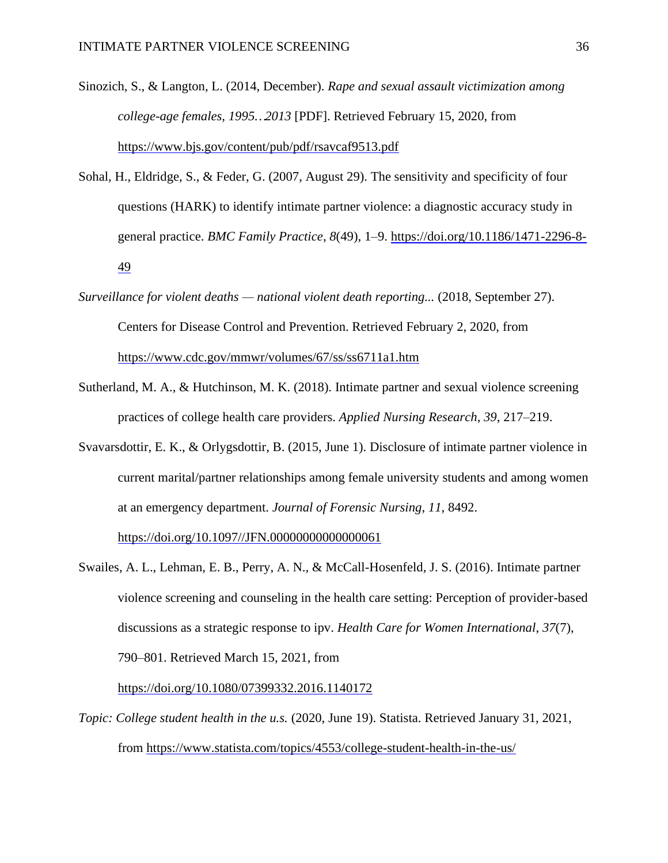- Sinozich, S., & Langton, L. (2014, December). *Rape and sexual assault victimization among college-age females, 1995…2013* [PDF]. Retrieved February 15, 2020, from <https://www.bjs.gov/content/pub/pdf/rsavcaf9513.pdf>
- Sohal, H., Eldridge, S., & Feder, G. (2007, August 29). The sensitivity and specificity of four questions (HARK) to identify intimate partner violence: a diagnostic accuracy study in general practice. *BMC Family Practice*, *8*(49), 1–9. [https://doi.org/10.1186/1471-2296-8-](https://doi.org/10.1186/1471-2296-8-49) [49](https://doi.org/10.1186/1471-2296-8-49)
- *Surveillance for violent deaths — national violent death reporting...* (2018, September 27). Centers for Disease Control and Prevention. Retrieved February 2, 2020, from <https://www.cdc.gov/mmwr/volumes/67/ss/ss6711a1.htm>
- Sutherland, M. A., & Hutchinson, M. K. (2018). Intimate partner and sexual violence screening practices of college health care providers. *Applied Nursing Research*, *39*, 217–219.
- Svavarsdottir, E. K., & Orlygsdottir, B. (2015, June 1). Disclosure of intimate partner violence in current marital/partner relationships among female university students and among women at an emergency department. *Journal of Forensic Nursing*, *11*, 8492.

[https://doi.org/10.1097//JFN.00000000000000061](https://doi.org/10.1097/JFN.00000000000000061)

Swailes, A. L., Lehman, E. B., Perry, A. N., & McCall-Hosenfeld, J. S. (2016). Intimate partner violence screening and counseling in the health care setting: Perception of provider-based discussions as a strategic response to ipv. *Health Care for Women International*, *37*(7), 790–801. Retrieved March 15, 2021, from

<https://doi.org/10.1080/07399332.2016.1140172>

*Topic: College student health in the u.s.* (2020, June 19). Statista. Retrieved January 31, 2021, from<https://www.statista.com/topics/4553/college-student-health-in-the-us/>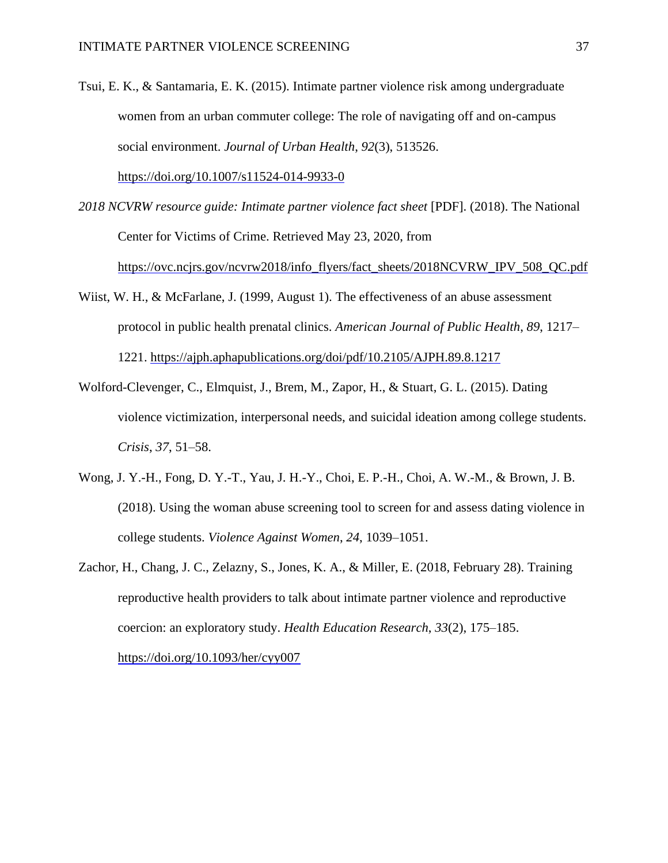Tsui, E. K., & Santamaria, E. K. (2015). Intimate partner violence risk among undergraduate women from an urban commuter college: The role of navigating off and on-campus social environment. *Journal of Urban Health*, *92*(3), 513526.

<https://doi.org/10.1007/s11524-014-9933-0>

- *2018 NCVRW resource guide: Intimate partner violence fact sheet* [PDF]. (2018). The National Center for Victims of Crime. Retrieved May 23, 2020, from [https://ovc.ncjrs.gov/ncvrw2018/info\\_flyers/fact\\_sheets/2018NCVRW\\_IPV\\_508\\_QC.pdf](https://ovc.ncjrs.gov/ncvrw2018/info_flyers/fact_sheets/2018NCVRW_IPV_508_QC.pdf)
- Wiist, W. H., & McFarlane, J. (1999, August 1). The effectiveness of an abuse assessment protocol in public health prenatal clinics. *American Journal of Public Health*, *89*, 1217– 1221.<https://ajph.aphapublications.org/doi/pdf/10.2105/AJPH.89.8.1217>
- Wolford-Clevenger, C., Elmquist, J., Brem, M., Zapor, H., & Stuart, G. L. (2015). Dating violence victimization, interpersonal needs, and suicidal ideation among college students. *Crisis*, *37*, 51–58.
- Wong, J. Y.-H., Fong, D. Y.-T., Yau, J. H.-Y., Choi, E. P.-H., Choi, A. W.-M., & Brown, J. B. (2018). Using the woman abuse screening tool to screen for and assess dating violence in college students. *Violence Against Women*, *24*, 1039–1051.
- Zachor, H., Chang, J. C., Zelazny, S., Jones, K. A., & Miller, E. (2018, February 28). Training reproductive health providers to talk about intimate partner violence and reproductive coercion: an exploratory study. *Health Education Research*, *33*(2), 175–185. <https://doi.org/10.1093/her/cyy007>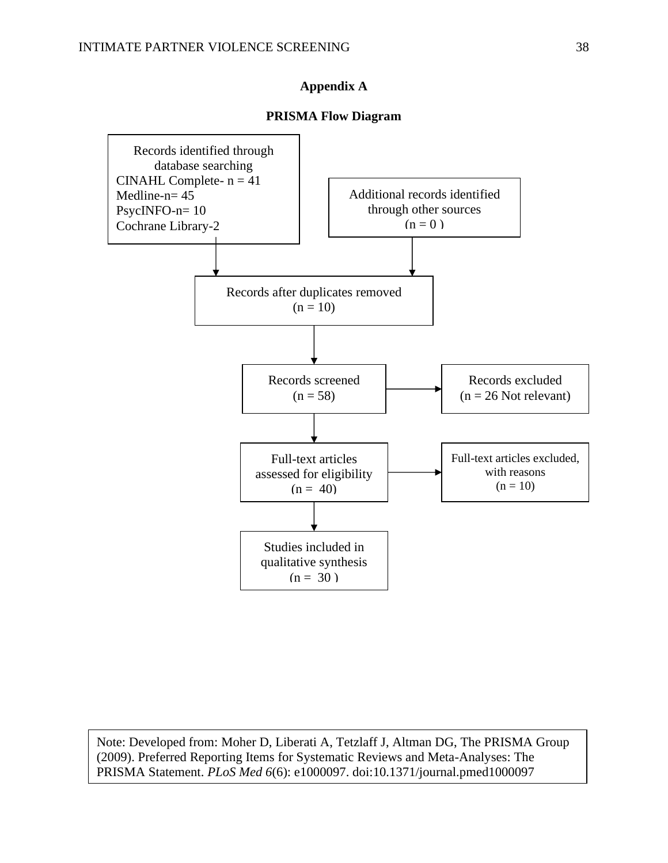## **Appendix A**

### **PRISMA Flow Diagram**

<span id="page-38-0"></span>

Note: Developed from: Moher D, Liberati A, Tetzlaff J, Altman DG, The PRISMA Group (2009). Preferred Reporting Items for Systematic Reviews and Meta-Analyses: The PRISMA Statement. *PLoS Med 6*(6): e1000097. doi:10.1371/journal.pmed1000097